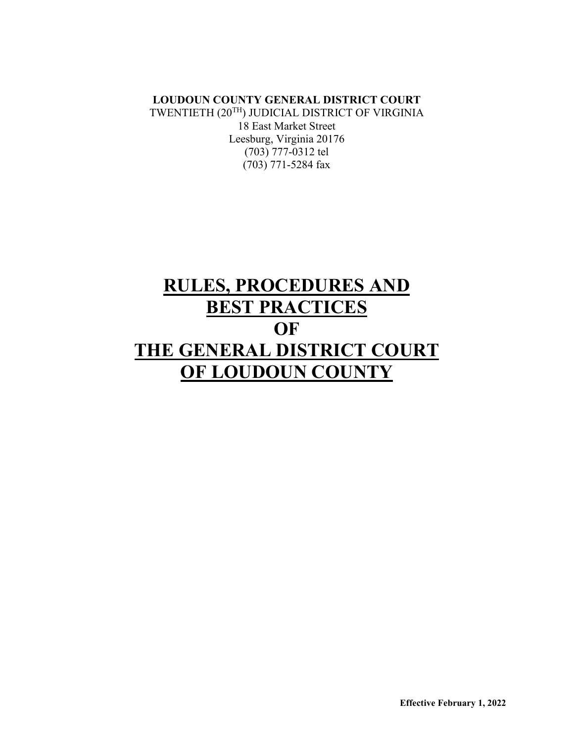**LOUDOUN COUNTY GENERAL DISTRICT COURT** TWENTIETH (20TH) JUDICIAL DISTRICT OF VIRGINIA 18 East Market Street Leesburg, Virginia 20176 (703) 777-0312 tel (703) 771-5284 fax

# **RULES, PROCEDURES AND BEST PRACTICES OF THE GENERAL DISTRICT COURT OF LOUDOUN COUNTY**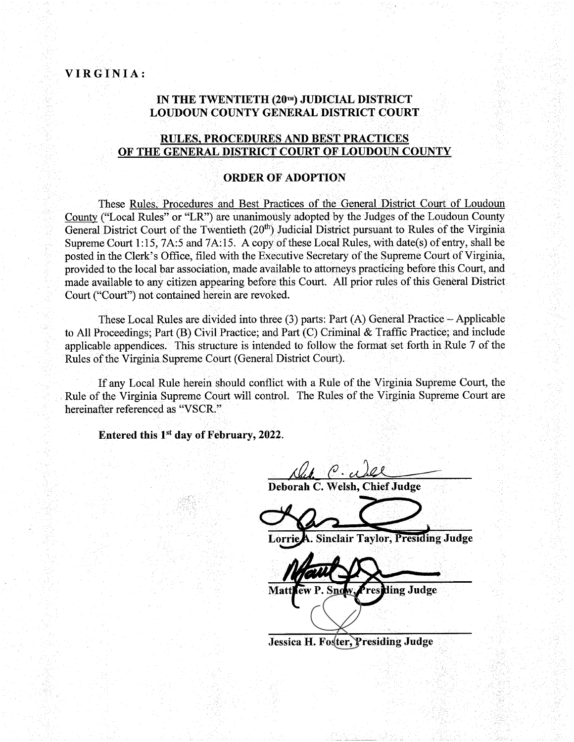#### IN THE TWENTIETH (20TH) JUDICIAL DISTRICT **LOUDOUN COUNTY GENERAL DISTRICT COURT**

#### **RULES, PROCEDURES AND BEST PRACTICES** OF THE GENERAL DISTRICT COURT OF LOUDOUN COUNTY

#### **ORDER OF ADOPTION**

These Rules, Procedures and Best Practices of the General District Court of Loudoun County ("Local Rules" or "LR") are unanimously adopted by the Judges of the Loudoun County General District Court of the Twentieth  $(20<sup>th</sup>)$  Judicial District pursuant to Rules of the Virginia Supreme Court 1:15, 7A:5 and 7A:15. A copy of these Local Rules, with date(s) of entry, shall be posted in the Clerk's Office, filed with the Executive Secretary of the Supreme Court of Virginia, provided to the local bar association, made available to attorneys practicing before this Court, and made available to any citizen appearing before this Court. All prior rules of this General District Court ("Court") not contained herein are revoked.

These Local Rules are divided into three  $(3)$  parts: Part  $(A)$  General Practice – Applicable to All Proceedings; Part (B) Civil Practice; and Part (C) Criminal & Traffic Practice; and include applicable appendices. This structure is intended to follow the format set forth in Rule 7 of the Rules of the Virginia Supreme Court (General District Court).

If any Local Rule herein should conflict with a Rule of the Virginia Supreme Court, the Rule of the Virginia Supreme Court will control. The Rules of the Virginia Supreme Court are hereinafter referenced as "VSCR."

Entered this 1<sup>st</sup> day of February, 2022.

ALL C. ALL<br>Drah C. Welsh, Chief Judge

A. Sinclair Taylor, Presiding Judge Lorrie

ding Judge Mati ew

Jessica H. Foster, Presiding Judge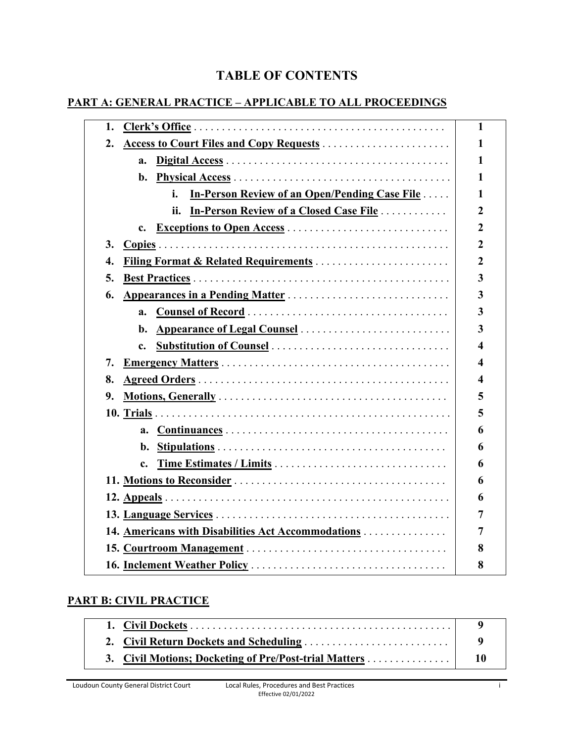# **TABLE OF CONTENTS**

# **PART A: GENERAL PRACTICE – APPLICABLE TO ALL PROCEEDINGS**

| 1.                                                          | 1              |
|-------------------------------------------------------------|----------------|
| 2.                                                          | 1              |
| a.                                                          | 1              |
|                                                             | 1              |
| <b>In-Person Review of an Open/Pending Case File </b><br>i. | 1              |
| ii.<br><b>In-Person Review of a Closed Case File </b>       | 2              |
| <b>Exceptions to Open Access</b><br>c.                      | $\overline{2}$ |
| 3.                                                          | $\overline{2}$ |
| <b>Filing Format &amp; Related Requirements</b><br>4.       | $\overline{2}$ |
| 5.                                                          | 3              |
| Appearances in a Pending Matter<br>6.                       | 3              |
|                                                             | 3              |
| b.                                                          | 3              |
| <b>Substitution of Counsel </b><br>$\mathbf{c}$ .           | 4              |
| 7.                                                          | 4              |
| 8.                                                          | 4              |
| 9.                                                          | 5              |
|                                                             | 5              |
|                                                             | 6              |
|                                                             | 6              |
| $c_{\cdot}$                                                 | 6              |
|                                                             | 6              |
|                                                             | 6              |
|                                                             | 7              |
| 14. Americans with Disabilities Act Accommodations          | 7              |
|                                                             | 8              |
|                                                             | 8              |
|                                                             |                |

# **PART B: CIVIL PRACTICE**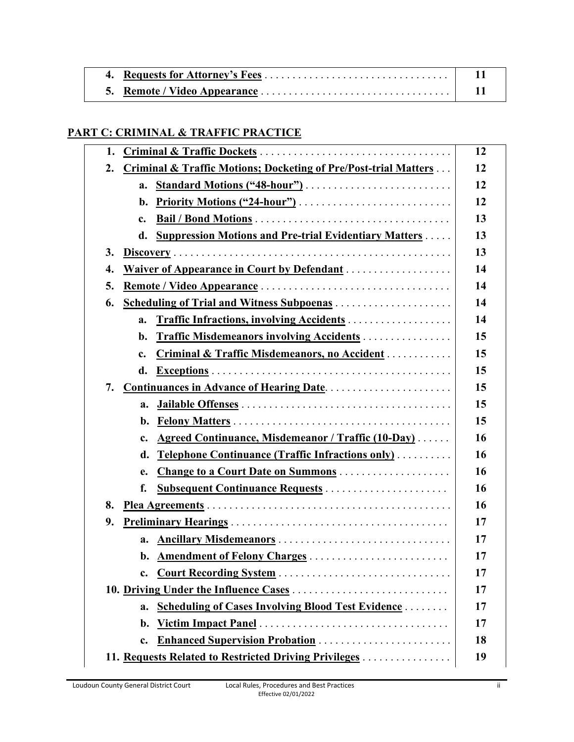# **PART C: CRIMINAL & TRAFFIC PRACTICE**

| 1.                                                                        |    |  |  |  |
|---------------------------------------------------------------------------|----|--|--|--|
| Criminal & Traffic Motions; Docketing of Pre/Post-trial Matters<br>2.     |    |  |  |  |
| a.                                                                        | 12 |  |  |  |
|                                                                           | 12 |  |  |  |
| c.                                                                        | 13 |  |  |  |
| <b>Suppression Motions and Pre-trial Evidentiary Matters </b><br>d.       | 13 |  |  |  |
| 3.                                                                        | 13 |  |  |  |
| Waiver of Appearance in Court by Defendant<br>4.                          | 14 |  |  |  |
| 5.                                                                        | 14 |  |  |  |
| Scheduling of Trial and Witness Subpoenas<br>6.                           | 14 |  |  |  |
| <b>Traffic Infractions, involving Accidents </b><br>a.                    | 14 |  |  |  |
| Traffic Misdemeanors involving Accidents<br>b.                            | 15 |  |  |  |
| <b>Criminal &amp; Traffic Misdemeanors, no Accident </b><br>$c_{\bullet}$ | 15 |  |  |  |
| d.                                                                        | 15 |  |  |  |
| 7.                                                                        | 15 |  |  |  |
| a.                                                                        | 15 |  |  |  |
| b.                                                                        | 15 |  |  |  |
| <b>Agreed Continuance, Misdemeanor / Traffic (10-Day)</b><br>c.           | 16 |  |  |  |
| <b>Telephone Continuance (Traffic Infractions only)</b><br>d.             | 16 |  |  |  |
| Change to a Court Date on Summons<br>e.                                   | 16 |  |  |  |
| <b>Subsequent Continuance Requests </b><br>f.                             | 16 |  |  |  |
| 8.                                                                        | 16 |  |  |  |
| 9.                                                                        | 17 |  |  |  |
| Ancillary Misdemeanors<br>a.                                              | 17 |  |  |  |
| b. Amendment of Felony Charges                                            | 17 |  |  |  |
| Court Recording System<br>c.                                              | 17 |  |  |  |
|                                                                           | 17 |  |  |  |
| <b>Scheduling of Cases Involving Blood Test Evidence </b><br>a.           | 17 |  |  |  |
| b.                                                                        | 17 |  |  |  |
| <b>Enhanced Supervision Probation </b><br>c.                              | 18 |  |  |  |
| 11. Requests Related to Restricted Driving Privileges                     | 19 |  |  |  |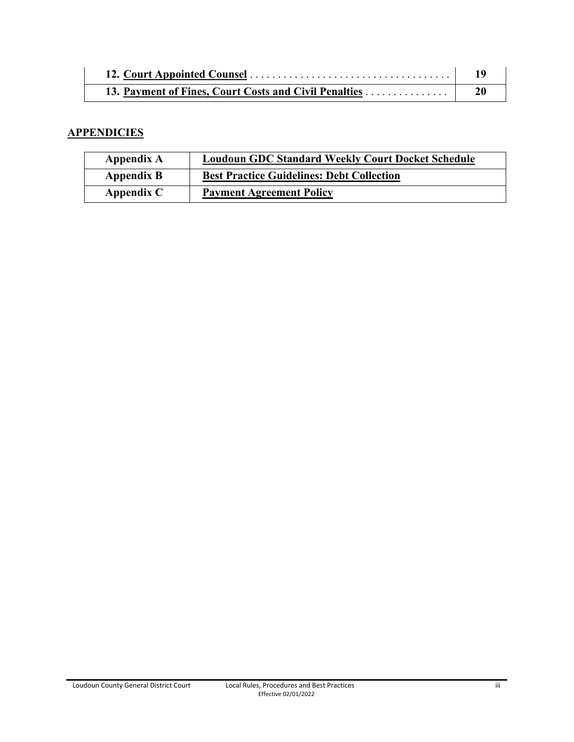#### **APPENDICIES**

| Appendix A   | <b>Loudoun GDC Standard Weekly Court Docket Schedule</b> |  |  |
|--------------|----------------------------------------------------------|--|--|
| Appendix B   | <b>Best Practice Guidelines: Debt Collection</b>         |  |  |
| Appendix $C$ | <b>Payment Agreement Policy</b>                          |  |  |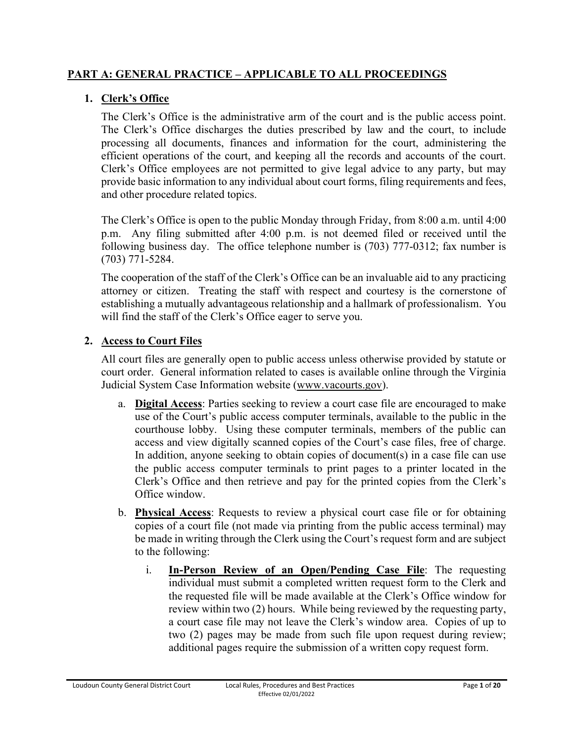### **PART A: GENERAL PRACTICE – APPLICABLE TO ALL PROCEEDINGS**

# **1. Clerk's Office**

The Clerk's Office is the administrative arm of the court and is the public access point. The Clerk's Office discharges the duties prescribed by law and the court, to include processing all documents, finances and information for the court, administering the efficient operations of the court, and keeping all the records and accounts of the court. Clerk's Office employees are not permitted to give legal advice to any party, but may provide basic information to any individual about court forms, filing requirements and fees, and other procedure related topics.

The Clerk's Office is open to the public Monday through Friday, from 8:00 a.m. until 4:00 p.m. Any filing submitted after 4:00 p.m. is not deemed filed or received until the following business day. The office telephone number is (703) 777-0312; fax number is (703) 771-5284.

The cooperation of the staff of the Clerk's Office can be an invaluable aid to any practicing attorney or citizen. Treating the staff with respect and courtesy is the cornerstone of establishing a mutually advantageous relationship and a hallmark of professionalism. You will find the staff of the Clerk's Office eager to serve you.

### **2. Access to Court Files**

All court files are generally open to public access unless otherwise provided by statute or court order. General information related to cases is available online through the Virginia Judicial System Case Information website (www.vacourts.gov).

- a. **Digital Access**: Parties seeking to review a court case file are encouraged to make use of the Court's public access computer terminals, available to the public in the courthouse lobby. Using these computer terminals, members of the public can access and view digitally scanned copies of the Court's case files, free of charge. In addition, anyone seeking to obtain copies of document(s) in a case file can use the public access computer terminals to print pages to a printer located in the Clerk's Office and then retrieve and pay for the printed copies from the Clerk's Office window.
- b. **Physical Access**: Requests to review a physical court case file or for obtaining copies of a court file (not made via printing from the public access terminal) may be made in writing through the Clerk using the Court's request form and are subject to the following:
	- i. **In-Person Review of an Open/Pending Case File**: The requesting individual must submit a completed written request form to the Clerk and the requested file will be made available at the Clerk's Office window for review within two (2) hours. While being reviewed by the requesting party, a court case file may not leave the Clerk's window area. Copies of up to two (2) pages may be made from such file upon request during review; additional pages require the submission of a written copy request form.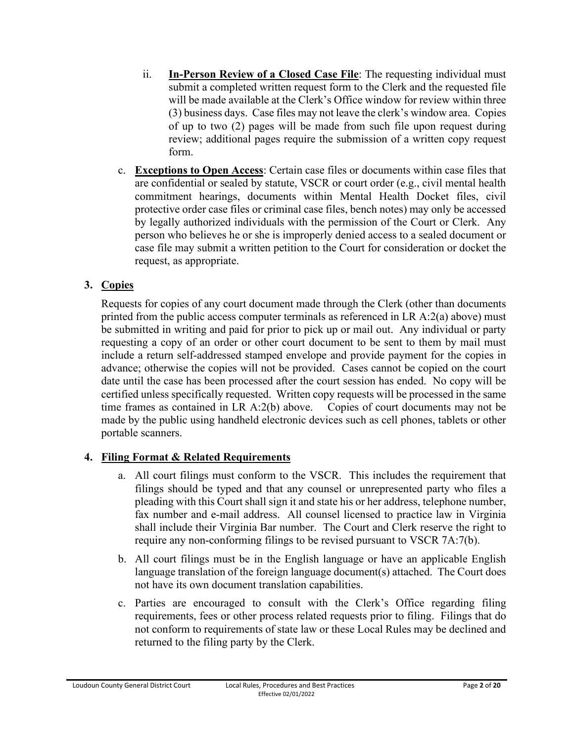- ii. **In-Person Review of a Closed Case File**: The requesting individual must submit a completed written request form to the Clerk and the requested file will be made available at the Clerk's Office window for review within three (3) business days. Case files may not leave the clerk's window area. Copies of up to two (2) pages will be made from such file upon request during review; additional pages require the submission of a written copy request form.
- c. **Exceptions to Open Access**: Certain case files or documents within case files that are confidential or sealed by statute, VSCR or court order (e.g., civil mental health commitment hearings, documents within Mental Health Docket files, civil protective order case files or criminal case files, bench notes) may only be accessed by legally authorized individuals with the permission of the Court or Clerk. Any person who believes he or she is improperly denied access to a sealed document or case file may submit a written petition to the Court for consideration or docket the request, as appropriate.

# **3. Copies**

Requests for copies of any court document made through the Clerk (other than documents printed from the public access computer terminals as referenced in LR A:2(a) above) must be submitted in writing and paid for prior to pick up or mail out. Any individual or party requesting a copy of an order or other court document to be sent to them by mail must include a return self-addressed stamped envelope and provide payment for the copies in advance; otherwise the copies will not be provided. Cases cannot be copied on the court date until the case has been processed after the court session has ended. No copy will be certified unless specifically requested. Written copy requests will be processed in the same time frames as contained in LR A:2(b) above. Copies of court documents may not be made by the public using handheld electronic devices such as cell phones, tablets or other portable scanners.

# **4. Filing Format & Related Requirements**

- a. All court filings must conform to the VSCR. This includes the requirement that filings should be typed and that any counsel or unrepresented party who files a pleading with this Court shall sign it and state his or her address, telephone number, fax number and e-mail address. All counsel licensed to practice law in Virginia shall include their Virginia Bar number. The Court and Clerk reserve the right to require any non-conforming filings to be revised pursuant to VSCR 7A:7(b).
- b. All court filings must be in the English language or have an applicable English language translation of the foreign language document(s) attached. The Court does not have its own document translation capabilities.
- c. Parties are encouraged to consult with the Clerk's Office regarding filing requirements, fees or other process related requests prior to filing. Filings that do not conform to requirements of state law or these Local Rules may be declined and returned to the filing party by the Clerk.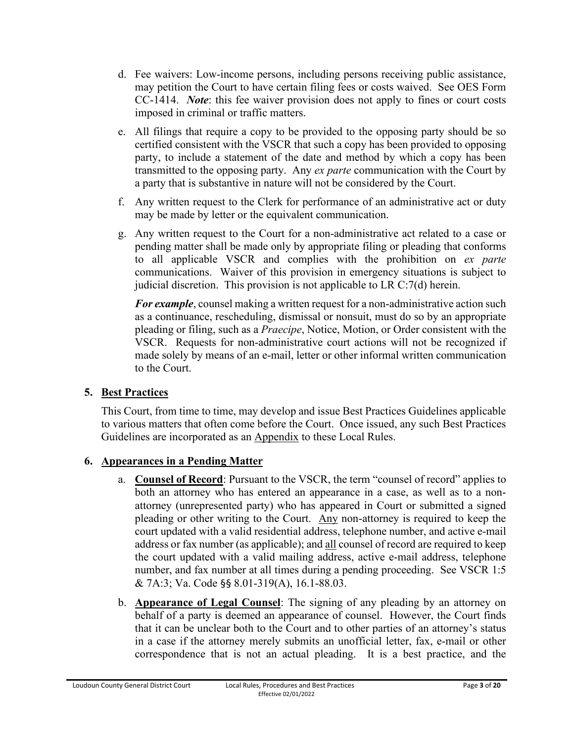- d. Fee waivers: Low-income persons, including persons receiving public assistance, may petition the Court to have certain filing fees or costs waived. See OES Form CC-1414. *Note*: this fee waiver provision does not apply to fines or court costs imposed in criminal or traffic matters.
- e. All filings that require a copy to be provided to the opposing party should be so certified consistent with the VSCR that such a copy has been provided to opposing party, to include a statement of the date and method by which a copy has been transmitted to the opposing party. Any *ex parte* communication with the Court by a party that is substantive in nature will not be considered by the Court.
- f. Any written request to the Clerk for performance of an administrative act or duty may be made by letter or the equivalent communication.
- g. Any written request to the Court for a non-administrative act related to a case or pending matter shall be made only by appropriate filing or pleading that conforms to all applicable VSCR and complies with the prohibition on *ex parte* communications. Waiver of this provision in emergency situations is subject to judicial discretion. This provision is not applicable to LR C:7(d) herein.

*For example*, counsel making a written request for a non-administrative action such as a continuance, rescheduling, dismissal or nonsuit, must do so by an appropriate pleading or filing, such as a *Praecipe*, Notice, Motion, or Order consistent with the VSCR. Requests for non-administrative court actions will not be recognized if made solely by means of an e-mail, letter or other informal written communication to the Court.

# **5. Best Practices**

This Court, from time to time, may develop and issue Best Practices Guidelines applicable to various matters that often come before the Court. Once issued, any such Best Practices Guidelines are incorporated as an **Appendix** to these Local Rules.

# **6. Appearances in a Pending Matter**

- a. **Counsel of Record**: Pursuant to the VSCR, the term "counsel of record" applies to both an attorney who has entered an appearance in a case, as well as to a nonattorney (unrepresented party) who has appeared in Court or submitted a signed pleading or other writing to the Court. Any non-attorney is required to keep the court updated with a valid residential address, telephone number, and active e-mail address or fax number (as applicable); and all counsel of record are required to keep the court updated with a valid mailing address, active e-mail address, telephone number, and fax number at all times during a pending proceeding. See VSCR 1:5 & 7A:3; Va. Code §§ 8.01-319(A), 16.1-88.03.
- b. **Appearance of Legal Counsel**: The signing of any pleading by an attorney on behalf of a party is deemed an appearance of counsel. However, the Court finds that it can be unclear both to the Court and to other parties of an attorney's status in a case if the attorney merely submits an unofficial letter, fax, e-mail or other correspondence that is not an actual pleading. It is a best practice, and the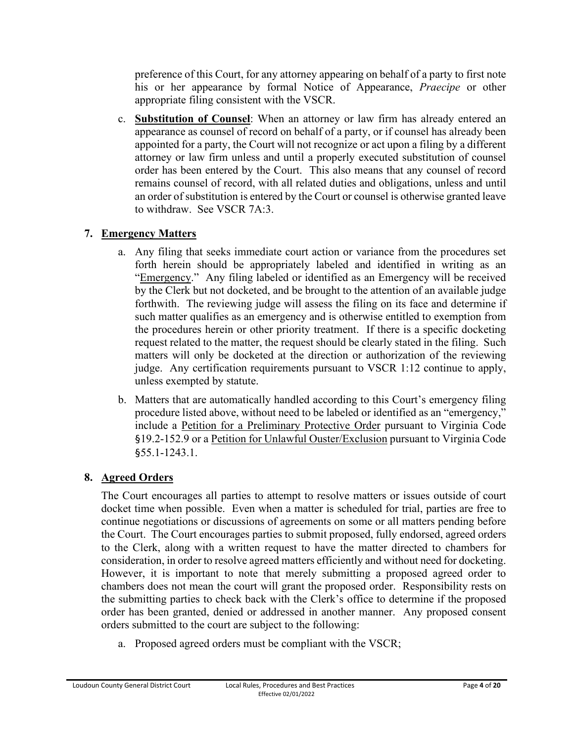preference of this Court, for any attorney appearing on behalf of a party to first note his or her appearance by formal Notice of Appearance, *Praecipe* or other appropriate filing consistent with the VSCR.

c. **Substitution of Counsel**: When an attorney or law firm has already entered an appearance as counsel of record on behalf of a party, or if counsel has already been appointed for a party, the Court will not recognize or act upon a filing by a different attorney or law firm unless and until a properly executed substitution of counsel order has been entered by the Court. This also means that any counsel of record remains counsel of record, with all related duties and obligations, unless and until an order of substitution is entered by the Court or counsel is otherwise granted leave to withdraw. See VSCR 7A:3.

# **7. Emergency Matters**

- a. Any filing that seeks immediate court action or variance from the procedures set forth herein should be appropriately labeled and identified in writing as an "Emergency." Any filing labeled or identified as an Emergency will be received by the Clerk but not docketed, and be brought to the attention of an available judge forthwith. The reviewing judge will assess the filing on its face and determine if such matter qualifies as an emergency and is otherwise entitled to exemption from the procedures herein or other priority treatment. If there is a specific docketing request related to the matter, the request should be clearly stated in the filing. Such matters will only be docketed at the direction or authorization of the reviewing judge. Any certification requirements pursuant to VSCR 1:12 continue to apply, unless exempted by statute.
- b. Matters that are automatically handled according to this Court's emergency filing procedure listed above, without need to be labeled or identified as an "emergency," include a Petition for a Preliminary Protective Order pursuant to Virginia Code §19.2-152.9 or a Petition for Unlawful Ouster/Exclusion pursuant to Virginia Code §55.1-1243.1.

# **8. Agreed Orders**

The Court encourages all parties to attempt to resolve matters or issues outside of court docket time when possible. Even when a matter is scheduled for trial, parties are free to continue negotiations or discussions of agreements on some or all matters pending before the Court. The Court encourages parties to submit proposed, fully endorsed, agreed orders to the Clerk, along with a written request to have the matter directed to chambers for consideration, in order to resolve agreed matters efficiently and without need for docketing. However, it is important to note that merely submitting a proposed agreed order to chambers does not mean the court will grant the proposed order. Responsibility rests on the submitting parties to check back with the Clerk's office to determine if the proposed order has been granted, denied or addressed in another manner. Any proposed consent orders submitted to the court are subject to the following:

a. Proposed agreed orders must be compliant with the VSCR;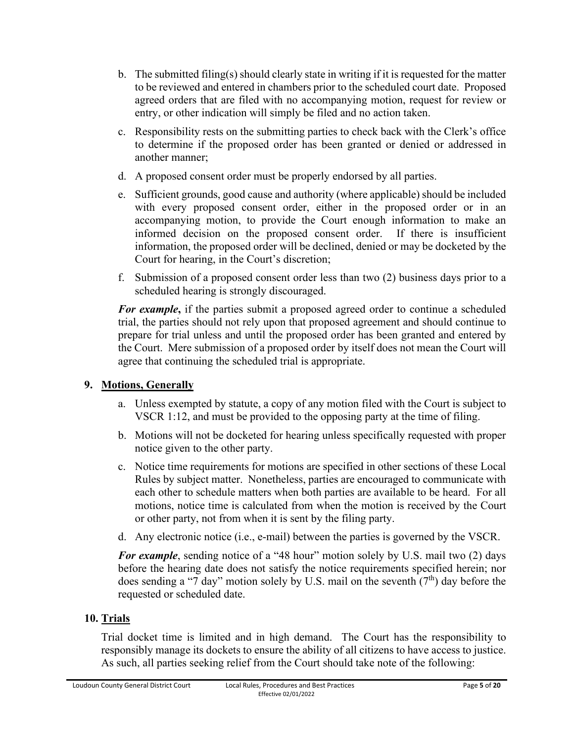- b. The submitted filing(s) should clearly state in writing if it is requested for the matter to be reviewed and entered in chambers prior to the scheduled court date. Proposed agreed orders that are filed with no accompanying motion, request for review or entry, or other indication will simply be filed and no action taken.
- c. Responsibility rests on the submitting parties to check back with the Clerk's office to determine if the proposed order has been granted or denied or addressed in another manner;
- d. A proposed consent order must be properly endorsed by all parties.
- e. Sufficient grounds, good cause and authority (where applicable) should be included with every proposed consent order, either in the proposed order or in an accompanying motion, to provide the Court enough information to make an informed decision on the proposed consent order. If there is insufficient information, the proposed order will be declined, denied or may be docketed by the Court for hearing, in the Court's discretion;
- f. Submission of a proposed consent order less than two (2) business days prior to a scheduled hearing is strongly discouraged.

*For example***,** if the parties submit a proposed agreed order to continue a scheduled trial, the parties should not rely upon that proposed agreement and should continue to prepare for trial unless and until the proposed order has been granted and entered by the Court. Mere submission of a proposed order by itself does not mean the Court will agree that continuing the scheduled trial is appropriate.

# **9. Motions, Generally**

- a. Unless exempted by statute, a copy of any motion filed with the Court is subject to VSCR 1:12, and must be provided to the opposing party at the time of filing.
- b. Motions will not be docketed for hearing unless specifically requested with proper notice given to the other party.
- c. Notice time requirements for motions are specified in other sections of these Local Rules by subject matter. Nonetheless, parties are encouraged to communicate with each other to schedule matters when both parties are available to be heard. For all motions, notice time is calculated from when the motion is received by the Court or other party, not from when it is sent by the filing party.
- d. Any electronic notice (i.e., e-mail) between the parties is governed by the VSCR.

*For example*, sending notice of a "48 hour" motion solely by U.S. mail two (2) days before the hearing date does not satisfy the notice requirements specified herein; nor does sending a "7 day" motion solely by U.S. mail on the seventh  $(7<sup>th</sup>)$  day before the requested or scheduled date.

# **10. Trials**

Trial docket time is limited and in high demand. The Court has the responsibility to responsibly manage its dockets to ensure the ability of all citizens to have access to justice. As such, all parties seeking relief from the Court should take note of the following: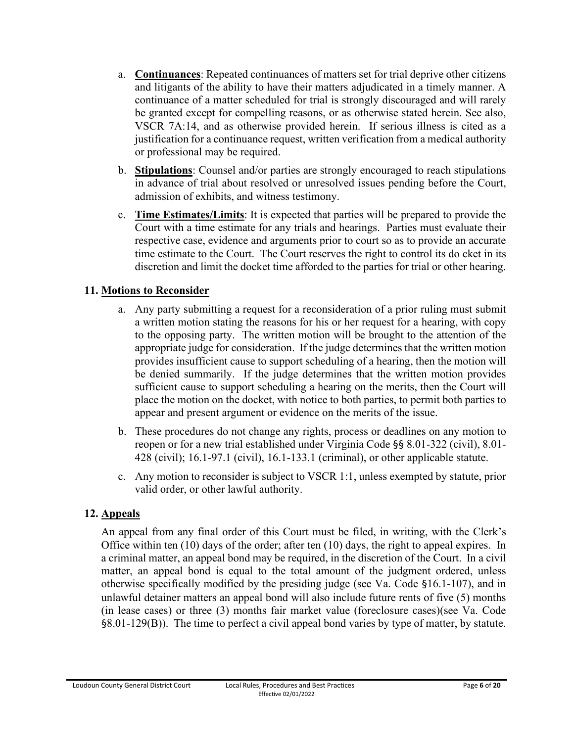- a. **Continuances**: Repeated continuances of matters set for trial deprive other citizens and litigants of the ability to have their matters adjudicated in a timely manner. A continuance of a matter scheduled for trial is strongly discouraged and will rarely be granted except for compelling reasons, or as otherwise stated herein. See also, VSCR 7A:14, and as otherwise provided herein. If serious illness is cited as a justification for a continuance request, written verification from a medical authority or professional may be required.
- b. **Stipulations**: Counsel and/or parties are strongly encouraged to reach stipulations in advance of trial about resolved or unresolved issues pending before the Court, admission of exhibits, and witness testimony.
- c. **Time Estimates/Limits**: It is expected that parties will be prepared to provide the Court with a time estimate for any trials and hearings. Parties must evaluate their respective case, evidence and arguments prior to court so as to provide an accurate time estimate to the Court. The Court reserves the right to control its do cket in its discretion and limit the docket time afforded to the parties for trial or other hearing.

# **11. Motions to Reconsider**

- a. Any party submitting a request for a reconsideration of a prior ruling must submit a written motion stating the reasons for his or her request for a hearing, with copy to the opposing party. The written motion will be brought to the attention of the appropriate judge for consideration. If the judge determines that the written motion provides insufficient cause to support scheduling of a hearing, then the motion will be denied summarily. If the judge determines that the written motion provides sufficient cause to support scheduling a hearing on the merits, then the Court will place the motion on the docket, with notice to both parties, to permit both parties to appear and present argument or evidence on the merits of the issue.
- b. These procedures do not change any rights, process or deadlines on any motion to reopen or for a new trial established under Virginia Code §§ 8.01-322 (civil), 8.01- 428 (civil); 16.1-97.1 (civil), 16.1-133.1 (criminal), or other applicable statute.
- c. Any motion to reconsider is subject to VSCR 1:1, unless exempted by statute, prior valid order, or other lawful authority.

# **12. Appeals**

An appeal from any final order of this Court must be filed, in writing, with the Clerk's Office within ten (10) days of the order; after ten (10) days, the right to appeal expires. In a criminal matter, an appeal bond may be required, in the discretion of the Court. In a civil matter, an appeal bond is equal to the total amount of the judgment ordered, unless otherwise specifically modified by the presiding judge (see Va. Code §16.1-107), and in unlawful detainer matters an appeal bond will also include future rents of five (5) months (in lease cases) or three (3) months fair market value (foreclosure cases)(see Va. Code §8.01-129(B)). The time to perfect a civil appeal bond varies by type of matter, by statute.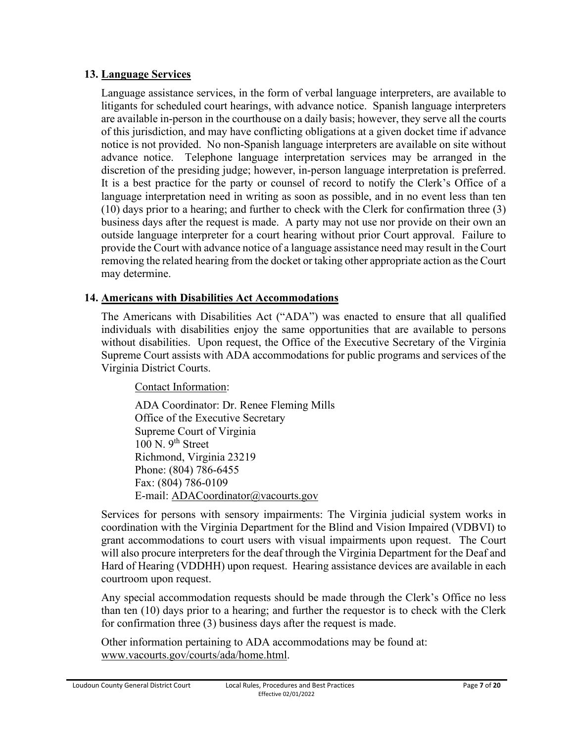#### **13. Language Services**

Language assistance services, in the form of verbal language interpreters, are available to litigants for scheduled court hearings, with advance notice. Spanish language interpreters are available in-person in the courthouse on a daily basis; however, they serve all the courts of this jurisdiction, and may have conflicting obligations at a given docket time if advance notice is not provided. No non-Spanish language interpreters are available on site without advance notice. Telephone language interpretation services may be arranged in the discretion of the presiding judge; however, in-person language interpretation is preferred. It is a best practice for the party or counsel of record to notify the Clerk's Office of a language interpretation need in writing as soon as possible, and in no event less than ten (10) days prior to a hearing; and further to check with the Clerk for confirmation three (3) business days after the request is made. A party may not use nor provide on their own an outside language interpreter for a court hearing without prior Court approval. Failure to provide the Court with advance notice of a language assistance need may result in the Court removing the related hearing from the docket or taking other appropriate action as the Court may determine.

# **14. Americans with Disabilities Act Accommodations**

The Americans with Disabilities Act ("ADA") was enacted to ensure that all qualified individuals with disabilities enjoy the same opportunities that are available to persons without disabilities. Upon request, the Office of the Executive Secretary of the Virginia Supreme Court assists with ADA accommodations for public programs and services of the Virginia District Courts.

Contact Information:

ADA Coordinator: Dr. Renee Fleming Mills Office of the Executive Secretary Supreme Court of Virginia  $100$  N.  $9<sup>th</sup>$  Street Richmond, Virginia 23219 Phone: (804) 786-6455 Fax: (804) 786-0109 E-mail: ADACoordinator@vacourts.gov

Services for persons with sensory impairments: The Virginia judicial system works in coordination with the Virginia Department for the Blind and Vision Impaired (VDBVI) to grant accommodations to court users with visual impairments upon request. The Court will also procure interpreters for the deaf through the Virginia Department for the Deaf and Hard of Hearing (VDDHH) upon request. Hearing assistance devices are available in each courtroom upon request.

Any special accommodation requests should be made through the Clerk's Office no less than ten (10) days prior to a hearing; and further the requestor is to check with the Clerk for confirmation three (3) business days after the request is made.

Other information pertaining to ADA accommodations may be found at: www.vacourts.gov/courts/ada/home.html.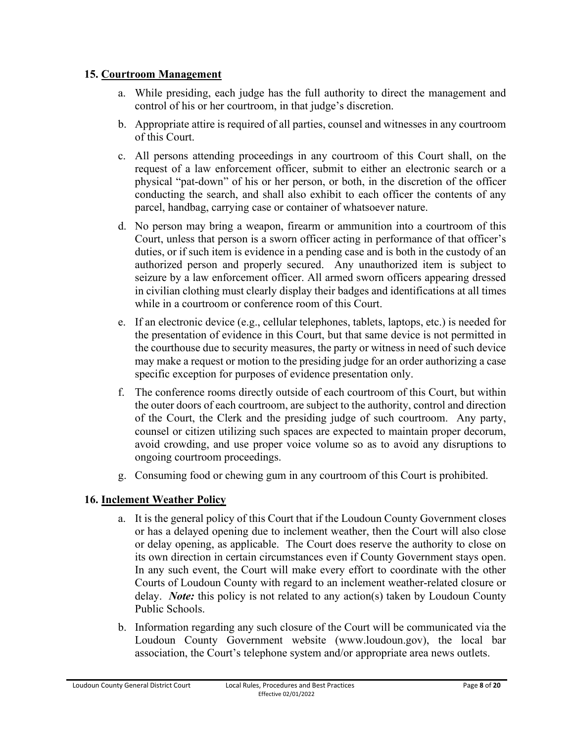### **15. Courtroom Management**

- a. While presiding, each judge has the full authority to direct the management and control of his or her courtroom, in that judge's discretion.
- b. Appropriate attire is required of all parties, counsel and witnesses in any courtroom of this Court.
- c. All persons attending proceedings in any courtroom of this Court shall, on the request of a law enforcement officer, submit to either an electronic search or a physical "pat-down" of his or her person, or both, in the discretion of the officer conducting the search, and shall also exhibit to each officer the contents of any parcel, handbag, carrying case or container of whatsoever nature.
- d. No person may bring a weapon, firearm or ammunition into a courtroom of this Court, unless that person is a sworn officer acting in performance of that officer's duties, or if such item is evidence in a pending case and is both in the custody of an authorized person and properly secured. Any unauthorized item is subject to seizure by a law enforcement officer. All armed sworn officers appearing dressed in civilian clothing must clearly display their badges and identifications at all times while in a courtroom or conference room of this Court.
- e. If an electronic device (e.g., cellular telephones, tablets, laptops, etc.) is needed for the presentation of evidence in this Court, but that same device is not permitted in the courthouse due to security measures, the party or witness in need of such device may make a request or motion to the presiding judge for an order authorizing a case specific exception for purposes of evidence presentation only.
- f. The conference rooms directly outside of each courtroom of this Court, but within the outer doors of each courtroom, are subject to the authority, control and direction of the Court, the Clerk and the presiding judge of such courtroom. Any party, counsel or citizen utilizing such spaces are expected to maintain proper decorum, avoid crowding, and use proper voice volume so as to avoid any disruptions to ongoing courtroom proceedings.
- g. Consuming food or chewing gum in any courtroom of this Court is prohibited.

# **16. Inclement Weather Policy**

- a. It is the general policy of this Court that if the Loudoun County Government closes or has a delayed opening due to inclement weather, then the Court will also close or delay opening, as applicable. The Court does reserve the authority to close on its own direction in certain circumstances even if County Government stays open. In any such event, the Court will make every effort to coordinate with the other Courts of Loudoun County with regard to an inclement weather-related closure or delay. *Note:* this policy is not related to any action(s) taken by Loudoun County Public Schools.
- b. Information regarding any such closure of the Court will be communicated via the Loudoun County Government website (www.loudoun.gov), the local bar association, the Court's telephone system and/or appropriate area news outlets.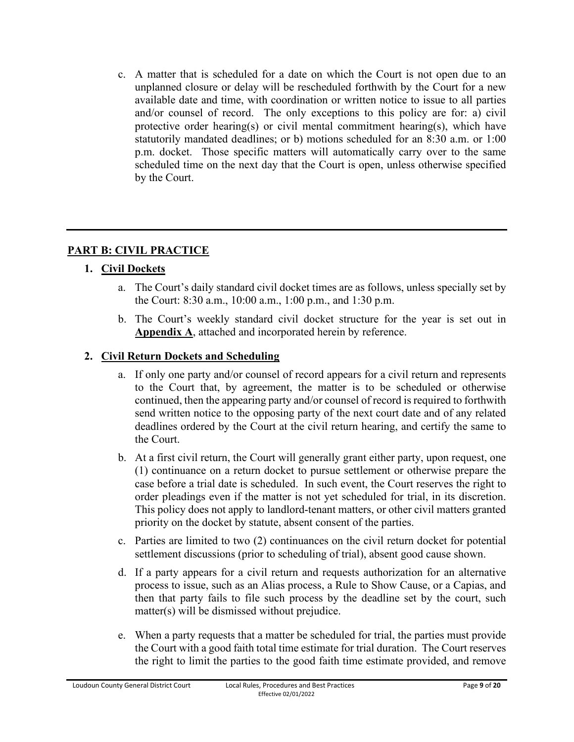c. A matter that is scheduled for a date on which the Court is not open due to an unplanned closure or delay will be rescheduled forthwith by the Court for a new available date and time, with coordination or written notice to issue to all parties and/or counsel of record. The only exceptions to this policy are for: a) civil protective order hearing(s) or civil mental commitment hearing(s), which have statutorily mandated deadlines; or b) motions scheduled for an 8:30 a.m. or 1:00 p.m. docket. Those specific matters will automatically carry over to the same scheduled time on the next day that the Court is open, unless otherwise specified by the Court.

# **PART B: CIVIL PRACTICE**

# **1. Civil Dockets**

- a. The Court's daily standard civil docket times are as follows, unless specially set by the Court: 8:30 a.m., 10:00 a.m., 1:00 p.m., and 1:30 p.m.
- b. The Court's weekly standard civil docket structure for the year is set out in **Appendix A**, attached and incorporated herein by reference.

# **2. Civil Return Dockets and Scheduling**

- a. If only one party and/or counsel of record appears for a civil return and represents to the Court that, by agreement, the matter is to be scheduled or otherwise continued, then the appearing party and/or counsel of record is required to forthwith send written notice to the opposing party of the next court date and of any related deadlines ordered by the Court at the civil return hearing, and certify the same to the Court.
- b. At a first civil return, the Court will generally grant either party, upon request, one (1) continuance on a return docket to pursue settlement or otherwise prepare the case before a trial date is scheduled. In such event, the Court reserves the right to order pleadings even if the matter is not yet scheduled for trial, in its discretion. This policy does not apply to landlord-tenant matters, or other civil matters granted priority on the docket by statute, absent consent of the parties.
- c. Parties are limited to two (2) continuances on the civil return docket for potential settlement discussions (prior to scheduling of trial), absent good cause shown.
- d. If a party appears for a civil return and requests authorization for an alternative process to issue, such as an Alias process, a Rule to Show Cause, or a Capias, and then that party fails to file such process by the deadline set by the court, such matter(s) will be dismissed without prejudice.
- e. When a party requests that a matter be scheduled for trial, the parties must provide the Court with a good faith total time estimate for trial duration. The Court reserves the right to limit the parties to the good faith time estimate provided, and remove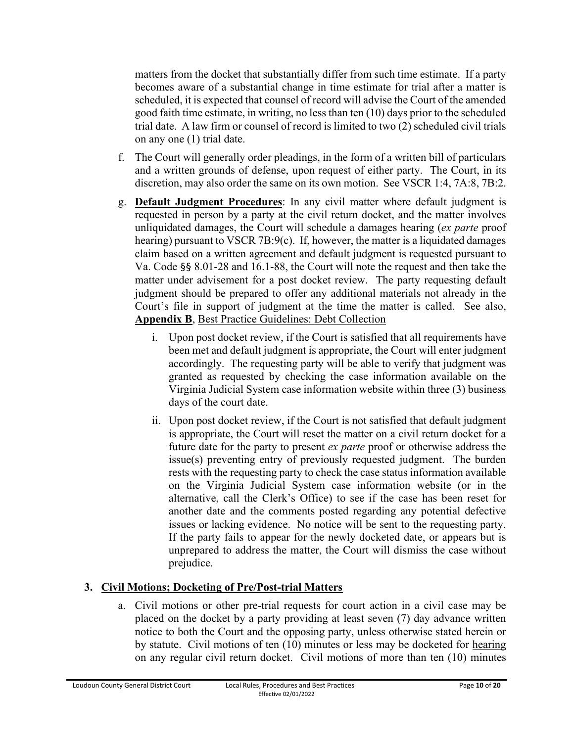matters from the docket that substantially differ from such time estimate. If a party becomes aware of a substantial change in time estimate for trial after a matter is scheduled, it is expected that counsel of record will advise the Court of the amended good faith time estimate, in writing, no less than ten (10) days prior to the scheduled trial date. A law firm or counsel of record is limited to two (2) scheduled civil trials on any one (1) trial date.

- f. The Court will generally order pleadings, in the form of a written bill of particulars and a written grounds of defense, upon request of either party. The Court, in its discretion, may also order the same on its own motion. See VSCR 1:4, 7A:8, 7B:2.
- g. **Default Judgment Procedures**: In any civil matter where default judgment is requested in person by a party at the civil return docket, and the matter involves unliquidated damages, the Court will schedule a damages hearing (*ex parte* proof hearing) pursuant to VSCR 7B:9(c). If, however, the matter is a liquidated damages claim based on a written agreement and default judgment is requested pursuant to Va. Code §§ 8.01-28 and 16.1-88, the Court will note the request and then take the matter under advisement for a post docket review. The party requesting default judgment should be prepared to offer any additional materials not already in the Court's file in support of judgment at the time the matter is called. See also, **Appendix B**, Best Practice Guidelines: Debt Collection
	- i. Upon post docket review, if the Court is satisfied that all requirements have been met and default judgment is appropriate, the Court will enter judgment accordingly. The requesting party will be able to verify that judgment was granted as requested by checking the case information available on the Virginia Judicial System case information website within three (3) business days of the court date.
	- ii. Upon post docket review, if the Court is not satisfied that default judgment is appropriate, the Court will reset the matter on a civil return docket for a future date for the party to present *ex parte* proof or otherwise address the issue(s) preventing entry of previously requested judgment. The burden rests with the requesting party to check the case status information available on the Virginia Judicial System case information website (or in the alternative, call the Clerk's Office) to see if the case has been reset for another date and the comments posted regarding any potential defective issues or lacking evidence. No notice will be sent to the requesting party. If the party fails to appear for the newly docketed date, or appears but is unprepared to address the matter, the Court will dismiss the case without prejudice.

# **3. Civil Motions; Docketing of Pre/Post-trial Matters**

a. Civil motions or other pre-trial requests for court action in a civil case may be placed on the docket by a party providing at least seven (7) day advance written notice to both the Court and the opposing party, unless otherwise stated herein or by statute. Civil motions of ten (10) minutes or less may be docketed for hearing on any regular civil return docket. Civil motions of more than ten (10) minutes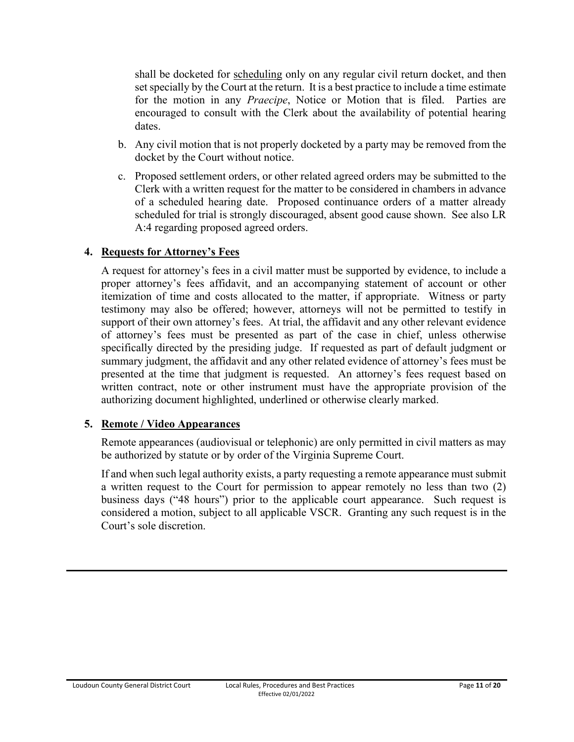shall be docketed for scheduling only on any regular civil return docket, and then set specially by the Court at the return. It is a best practice to include a time estimate for the motion in any *Praecipe*, Notice or Motion that is filed. Parties are encouraged to consult with the Clerk about the availability of potential hearing dates.

- b. Any civil motion that is not properly docketed by a party may be removed from the docket by the Court without notice.
- c. Proposed settlement orders, or other related agreed orders may be submitted to the Clerk with a written request for the matter to be considered in chambers in advance of a scheduled hearing date. Proposed continuance orders of a matter already scheduled for trial is strongly discouraged, absent good cause shown. See also LR A:4 regarding proposed agreed orders.

#### **4. Requests for Attorney's Fees**

A request for attorney's fees in a civil matter must be supported by evidence, to include a proper attorney's fees affidavit, and an accompanying statement of account or other itemization of time and costs allocated to the matter, if appropriate. Witness or party testimony may also be offered; however, attorneys will not be permitted to testify in support of their own attorney's fees. At trial, the affidavit and any other relevant evidence of attorney's fees must be presented as part of the case in chief, unless otherwise specifically directed by the presiding judge. If requested as part of default judgment or summary judgment, the affidavit and any other related evidence of attorney's fees must be presented at the time that judgment is requested. An attorney's fees request based on written contract, note or other instrument must have the appropriate provision of the authorizing document highlighted, underlined or otherwise clearly marked.

#### **5. Remote / Video Appearances**

Remote appearances (audiovisual or telephonic) are only permitted in civil matters as may be authorized by statute or by order of the Virginia Supreme Court.

If and when such legal authority exists, a party requesting a remote appearance must submit a written request to the Court for permission to appear remotely no less than two (2) business days ("48 hours") prior to the applicable court appearance. Such request is considered a motion, subject to all applicable VSCR. Granting any such request is in the Court's sole discretion.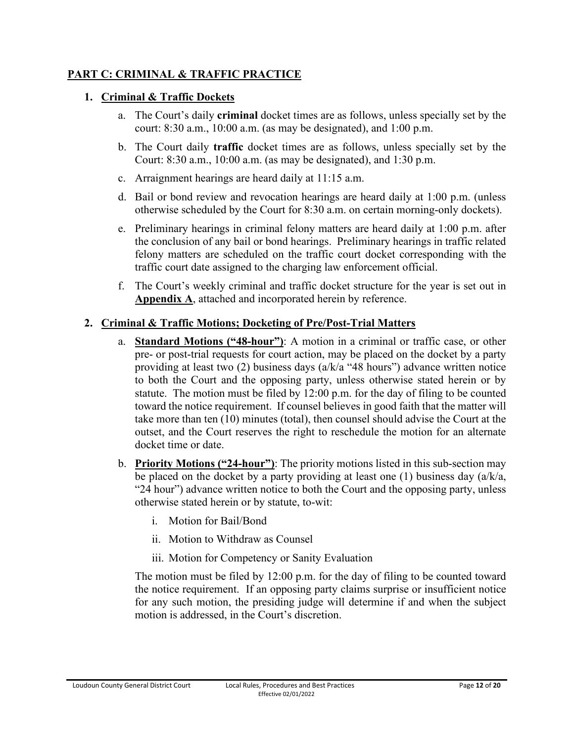### **PART C: CRIMINAL & TRAFFIC PRACTICE**

#### **1. Criminal & Traffic Dockets**

- a. The Court's daily **criminal** docket times are as follows, unless specially set by the court: 8:30 a.m., 10:00 a.m. (as may be designated), and 1:00 p.m.
- b. The Court daily **traffic** docket times are as follows, unless specially set by the Court: 8:30 a.m., 10:00 a.m. (as may be designated), and 1:30 p.m.
- c. Arraignment hearings are heard daily at 11:15 a.m.
- d. Bail or bond review and revocation hearings are heard daily at 1:00 p.m. (unless otherwise scheduled by the Court for 8:30 a.m. on certain morning-only dockets).
- e. Preliminary hearings in criminal felony matters are heard daily at 1:00 p.m. after the conclusion of any bail or bond hearings. Preliminary hearings in traffic related felony matters are scheduled on the traffic court docket corresponding with the traffic court date assigned to the charging law enforcement official.
- f. The Court's weekly criminal and traffic docket structure for the year is set out in **Appendix A**, attached and incorporated herein by reference.

### **2. Criminal & Traffic Motions; Docketing of Pre/Post-Trial Matters**

- a. **Standard Motions ("48-hour")**: A motion in a criminal or traffic case, or other pre- or post-trial requests for court action, may be placed on the docket by a party providing at least two (2) business days (a/k/a "48 hours") advance written notice to both the Court and the opposing party, unless otherwise stated herein or by statute. The motion must be filed by 12:00 p.m. for the day of filing to be counted toward the notice requirement. If counsel believes in good faith that the matter will take more than ten (10) minutes (total), then counsel should advise the Court at the outset, and the Court reserves the right to reschedule the motion for an alternate docket time or date.
- b. **Priority Motions ("24-hour")**: The priority motions listed in this sub-section may be placed on the docket by a party providing at least one (1) business day  $(a/k/a)$ , "24 hour") advance written notice to both the Court and the opposing party, unless otherwise stated herein or by statute, to-wit:
	- i. Motion for Bail/Bond
	- ii. Motion to Withdraw as Counsel
	- iii. Motion for Competency or Sanity Evaluation

The motion must be filed by 12:00 p.m. for the day of filing to be counted toward the notice requirement. If an opposing party claims surprise or insufficient notice for any such motion, the presiding judge will determine if and when the subject motion is addressed, in the Court's discretion.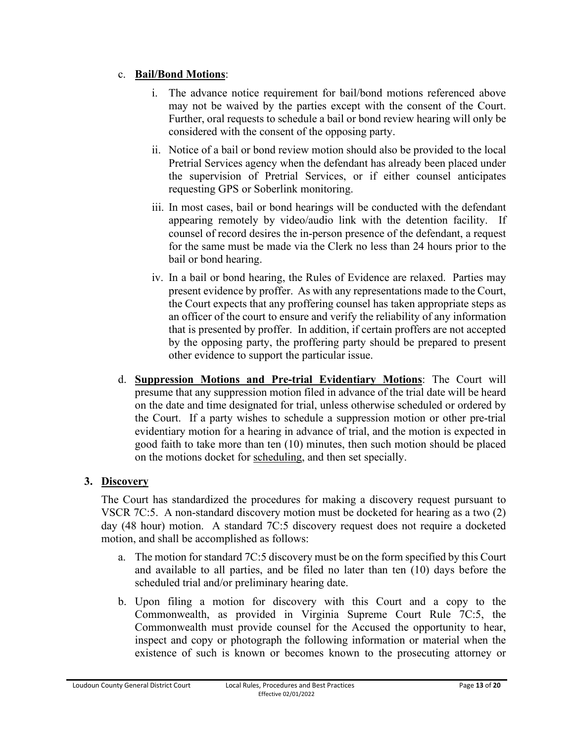### c. **Bail/Bond Motions**:

- i. The advance notice requirement for bail/bond motions referenced above may not be waived by the parties except with the consent of the Court. Further, oral requests to schedule a bail or bond review hearing will only be considered with the consent of the opposing party.
- ii. Notice of a bail or bond review motion should also be provided to the local Pretrial Services agency when the defendant has already been placed under the supervision of Pretrial Services, or if either counsel anticipates requesting GPS or Soberlink monitoring.
- iii. In most cases, bail or bond hearings will be conducted with the defendant appearing remotely by video/audio link with the detention facility. If counsel of record desires the in-person presence of the defendant, a request for the same must be made via the Clerk no less than 24 hours prior to the bail or bond hearing.
- iv. In a bail or bond hearing, the Rules of Evidence are relaxed. Parties may present evidence by proffer. As with any representations made to the Court, the Court expects that any proffering counsel has taken appropriate steps as an officer of the court to ensure and verify the reliability of any information that is presented by proffer. In addition, if certain proffers are not accepted by the opposing party, the proffering party should be prepared to present other evidence to support the particular issue.
- d. **Suppression Motions and Pre-trial Evidentiary Motions**: The Court will presume that any suppression motion filed in advance of the trial date will be heard on the date and time designated for trial, unless otherwise scheduled or ordered by the Court. If a party wishes to schedule a suppression motion or other pre-trial evidentiary motion for a hearing in advance of trial, and the motion is expected in good faith to take more than ten (10) minutes, then such motion should be placed on the motions docket for scheduling, and then set specially.

# **3. Discovery**

The Court has standardized the procedures for making a discovery request pursuant to VSCR 7C:5. A non-standard discovery motion must be docketed for hearing as a two (2) day (48 hour) motion. A standard 7C:5 discovery request does not require a docketed motion, and shall be accomplished as follows:

- a. The motion for standard 7C:5 discovery must be on the form specified by this Court and available to all parties, and be filed no later than ten (10) days before the scheduled trial and/or preliminary hearing date.
- b. Upon filing a motion for discovery with this Court and a copy to the Commonwealth, as provided in Virginia Supreme Court Rule 7C:5, the Commonwealth must provide counsel for the Accused the opportunity to hear, inspect and copy or photograph the following information or material when the existence of such is known or becomes known to the prosecuting attorney or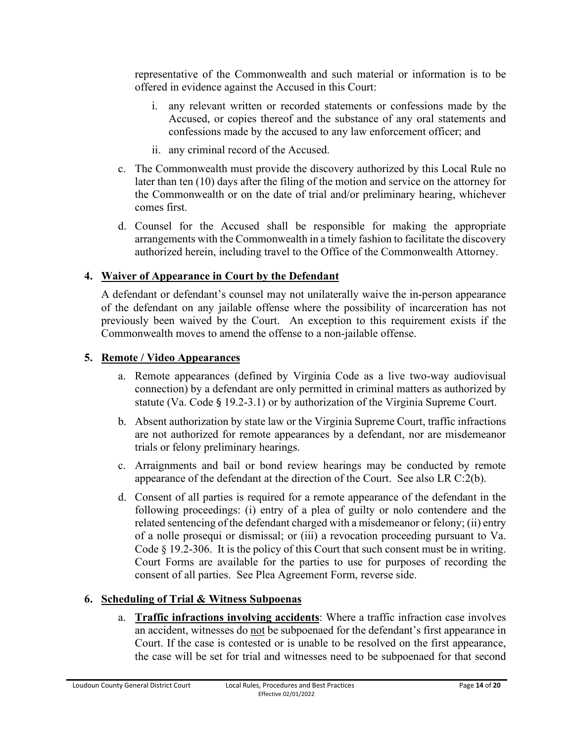representative of the Commonwealth and such material or information is to be offered in evidence against the Accused in this Court:

- i. any relevant written or recorded statements or confessions made by the Accused, or copies thereof and the substance of any oral statements and confessions made by the accused to any law enforcement officer; and
- ii. any criminal record of the Accused.
- c. The Commonwealth must provide the discovery authorized by this Local Rule no later than ten (10) days after the filing of the motion and service on the attorney for the Commonwealth or on the date of trial and/or preliminary hearing, whichever comes first.
- d. Counsel for the Accused shall be responsible for making the appropriate arrangements with the Commonwealth in a timely fashion to facilitate the discovery authorized herein, including travel to the Office of the Commonwealth Attorney.

### **4. Waiver of Appearance in Court by the Defendant**

A defendant or defendant's counsel may not unilaterally waive the in-person appearance of the defendant on any jailable offense where the possibility of incarceration has not previously been waived by the Court. An exception to this requirement exists if the Commonwealth moves to amend the offense to a non-jailable offense.

#### **5. Remote / Video Appearances**

- a. Remote appearances (defined by Virginia Code as a live two-way audiovisual connection) by a defendant are only permitted in criminal matters as authorized by statute (Va. Code § 19.2-3.1) or by authorization of the Virginia Supreme Court.
- b. Absent authorization by state law or the Virginia Supreme Court, traffic infractions are not authorized for remote appearances by a defendant, nor are misdemeanor trials or felony preliminary hearings.
- c. Arraignments and bail or bond review hearings may be conducted by remote appearance of the defendant at the direction of the Court. See also LR C:2(b).
- d. Consent of all parties is required for a remote appearance of the defendant in the following proceedings: (i) entry of a plea of guilty or nolo contendere and the related sentencing of the defendant charged with a misdemeanor or felony; (ii) entry of a nolle prosequi or dismissal; or (iii) a revocation proceeding pursuant to Va. Code § 19.2-306. It is the policy of this Court that such consent must be in writing. Court Forms are available for the parties to use for purposes of recording the consent of all parties. See Plea Agreement Form, reverse side.

# **6. Scheduling of Trial & Witness Subpoenas**

a. **Traffic infractions involving accidents**: Where a traffic infraction case involves an accident, witnesses do not be subpoenaed for the defendant's first appearance in Court. If the case is contested or is unable to be resolved on the first appearance, the case will be set for trial and witnesses need to be subpoenaed for that second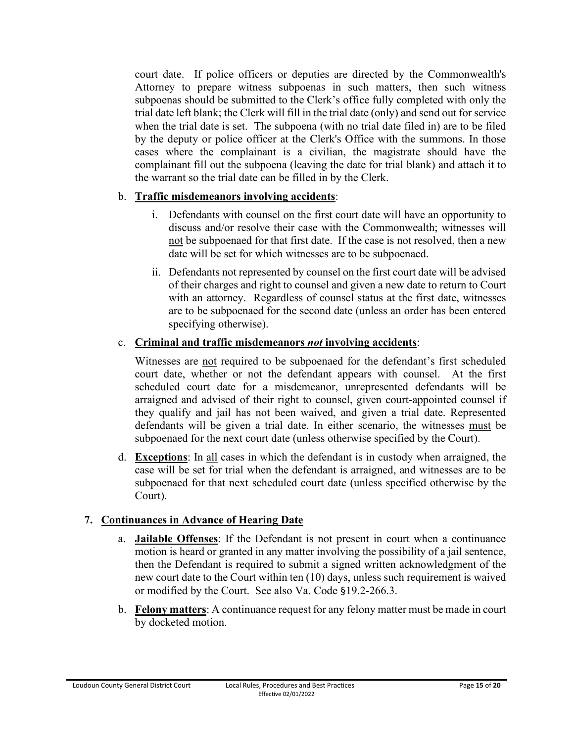court date. If police officers or deputies are directed by the Commonwealth's Attorney to prepare witness subpoenas in such matters, then such witness subpoenas should be submitted to the Clerk's office fully completed with only the trial date left blank; the Clerk will fill in the trial date (only) and send out for service when the trial date is set. The subpoena (with no trial date filed in) are to be filed by the deputy or police officer at the Clerk's Office with the summons. In those cases where the complainant is a civilian, the magistrate should have the complainant fill out the subpoena (leaving the date for trial blank) and attach it to the warrant so the trial date can be filled in by the Clerk.

# b. **Traffic misdemeanors involving accidents**:

- i. Defendants with counsel on the first court date will have an opportunity to discuss and/or resolve their case with the Commonwealth; witnesses will not be subpoenaed for that first date. If the case is not resolved, then a new date will be set for which witnesses are to be subpoenaed.
- ii. Defendants not represented by counsel on the first court date will be advised of their charges and right to counsel and given a new date to return to Court with an attorney. Regardless of counsel status at the first date, witnesses are to be subpoenaed for the second date (unless an order has been entered specifying otherwise).

#### c. **Criminal and traffic misdemeanors** *not* **involving accidents**:

Witnesses are not required to be subpoenaed for the defendant's first scheduled court date, whether or not the defendant appears with counsel. At the first scheduled court date for a misdemeanor, unrepresented defendants will be arraigned and advised of their right to counsel, given court-appointed counsel if they qualify and jail has not been waived, and given a trial date. Represented defendants will be given a trial date. In either scenario, the witnesses must be subpoenaed for the next court date (unless otherwise specified by the Court).

d. **Exceptions**: In all cases in which the defendant is in custody when arraigned, the case will be set for trial when the defendant is arraigned, and witnesses are to be subpoenaed for that next scheduled court date (unless specified otherwise by the Court).

# **7. Continuances in Advance of Hearing Date**

- a. **Jailable Offenses**: If the Defendant is not present in court when a continuance motion is heard or granted in any matter involving the possibility of a jail sentence, then the Defendant is required to submit a signed written acknowledgment of the new court date to the Court within ten (10) days, unless such requirement is waived or modified by the Court. See also Va. Code §19.2-266.3.
- b. **Felony matters**: A continuance request for any felony matter must be made in court by docketed motion.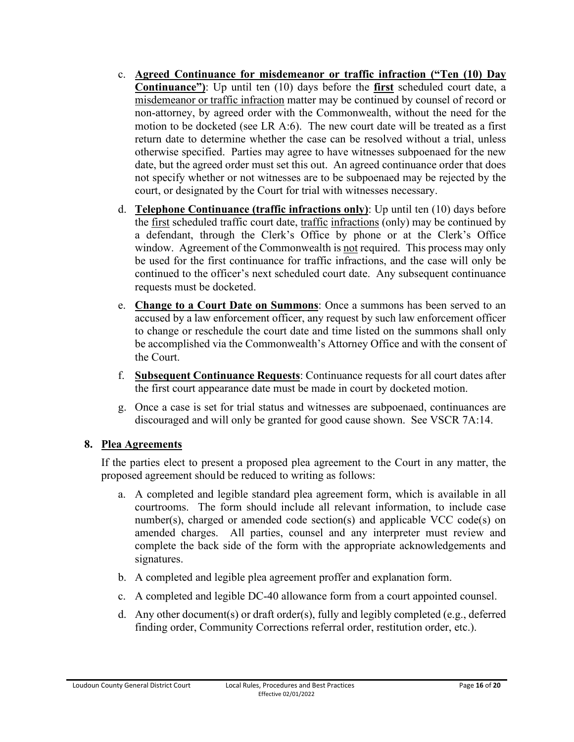- c. **Agreed Continuance for misdemeanor or traffic infraction ("Ten (10) Day Continuance")**: Up until ten (10) days before the **first** scheduled court date, a misdemeanor or traffic infraction matter may be continued by counsel of record or non-attorney, by agreed order with the Commonwealth, without the need for the motion to be docketed (see LR A:6). The new court date will be treated as a first return date to determine whether the case can be resolved without a trial, unless otherwise specified. Parties may agree to have witnesses subpoenaed for the new date, but the agreed order must set this out. An agreed continuance order that does not specify whether or not witnesses are to be subpoenaed may be rejected by the court, or designated by the Court for trial with witnesses necessary.
- d. **Telephone Continuance (traffic infractions only)**: Up until ten (10) days before the first scheduled traffic court date, traffic infractions (only) may be continued by a defendant, through the Clerk's Office by phone or at the Clerk's Office window. Agreement of the Commonwealth is not required. This process may only be used for the first continuance for traffic infractions, and the case will only be continued to the officer's next scheduled court date. Any subsequent continuance requests must be docketed.
- e. **Change to a Court Date on Summons**: Once a summons has been served to an accused by a law enforcement officer, any request by such law enforcement officer to change or reschedule the court date and time listed on the summons shall only be accomplished via the Commonwealth's Attorney Office and with the consent of the Court.
- f. **Subsequent Continuance Requests**: Continuance requests for all court dates after the first court appearance date must be made in court by docketed motion.
- g. Once a case is set for trial status and witnesses are subpoenaed, continuances are discouraged and will only be granted for good cause shown. See VSCR 7A:14.

# **8. Plea Agreements**

If the parties elect to present a proposed plea agreement to the Court in any matter, the proposed agreement should be reduced to writing as follows:

- a. A completed and legible standard plea agreement form, which is available in all courtrooms. The form should include all relevant information, to include case number(s), charged or amended code section(s) and applicable VCC code(s) on amended charges. All parties, counsel and any interpreter must review and complete the back side of the form with the appropriate acknowledgements and signatures.
- b. A completed and legible plea agreement proffer and explanation form.
- c. A completed and legible DC-40 allowance form from a court appointed counsel.
- d. Any other document(s) or draft order(s), fully and legibly completed (e.g., deferred finding order, Community Corrections referral order, restitution order, etc.).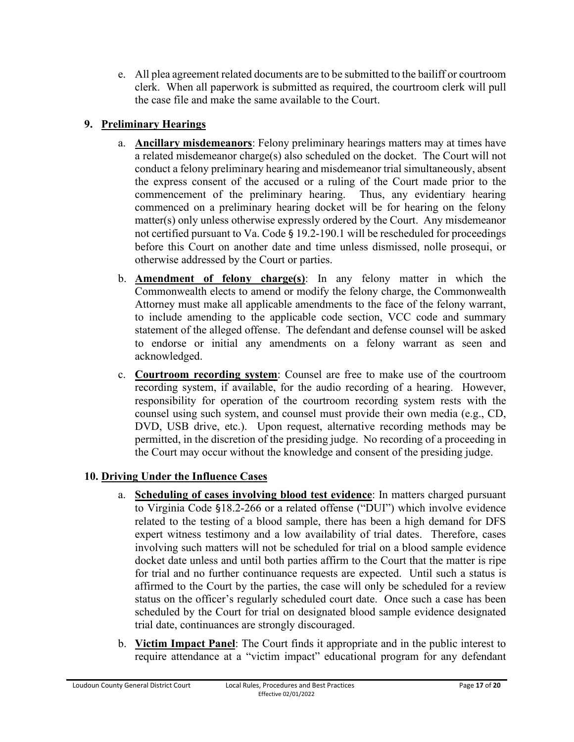e. All plea agreement related documents are to be submitted to the bailiff or courtroom clerk. When all paperwork is submitted as required, the courtroom clerk will pull the case file and make the same available to the Court.

# **9. Preliminary Hearings**

- a. **Ancillary misdemeanors**: Felony preliminary hearings matters may at times have a related misdemeanor charge(s) also scheduled on the docket. The Court will not conduct a felony preliminary hearing and misdemeanor trial simultaneously, absent the express consent of the accused or a ruling of the Court made prior to the commencement of the preliminary hearing. Thus, any evidentiary hearing commenced on a preliminary hearing docket will be for hearing on the felony matter(s) only unless otherwise expressly ordered by the Court. Any misdemeanor not certified pursuant to Va. Code § 19.2-190.1 will be rescheduled for proceedings before this Court on another date and time unless dismissed, nolle prosequi, or otherwise addressed by the Court or parties.
- b. **Amendment of felony charge(s)**: In any felony matter in which the Commonwealth elects to amend or modify the felony charge, the Commonwealth Attorney must make all applicable amendments to the face of the felony warrant, to include amending to the applicable code section, VCC code and summary statement of the alleged offense. The defendant and defense counsel will be asked to endorse or initial any amendments on a felony warrant as seen and acknowledged.
- c. **Courtroom recording system**: Counsel are free to make use of the courtroom recording system, if available, for the audio recording of a hearing. However, responsibility for operation of the courtroom recording system rests with the counsel using such system, and counsel must provide their own media (e.g., CD, DVD, USB drive, etc.). Upon request, alternative recording methods may be permitted, in the discretion of the presiding judge. No recording of a proceeding in the Court may occur without the knowledge and consent of the presiding judge.

# **10. Driving Under the Influence Cases**

- a. **Scheduling of cases involving blood test evidence**: In matters charged pursuant to Virginia Code §18.2-266 or a related offense ("DUI") which involve evidence related to the testing of a blood sample, there has been a high demand for DFS expert witness testimony and a low availability of trial dates. Therefore, cases involving such matters will not be scheduled for trial on a blood sample evidence docket date unless and until both parties affirm to the Court that the matter is ripe for trial and no further continuance requests are expected. Until such a status is affirmed to the Court by the parties, the case will only be scheduled for a review status on the officer's regularly scheduled court date. Once such a case has been scheduled by the Court for trial on designated blood sample evidence designated trial date, continuances are strongly discouraged.
- b. **Victim Impact Panel**: The Court finds it appropriate and in the public interest to require attendance at a "victim impact" educational program for any defendant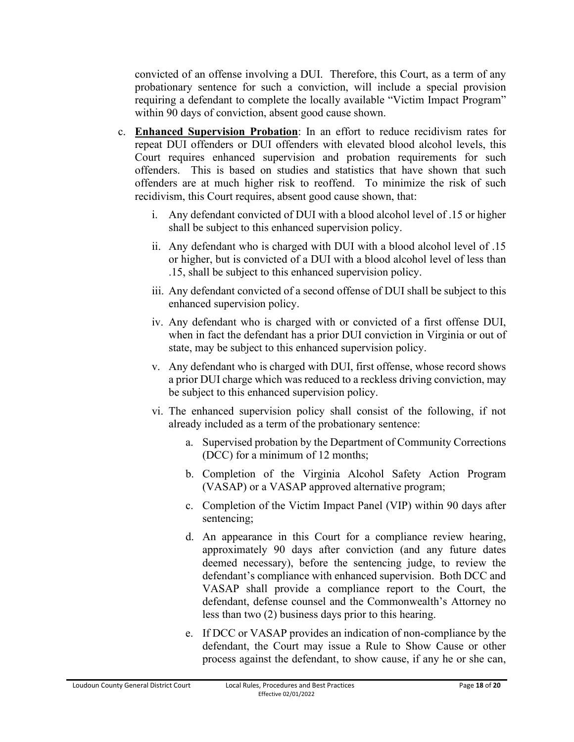convicted of an offense involving a DUI. Therefore, this Court, as a term of any probationary sentence for such a conviction, will include a special provision requiring a defendant to complete the locally available "Victim Impact Program" within 90 days of conviction, absent good cause shown.

- c. **Enhanced Supervision Probation**: In an effort to reduce recidivism rates for repeat DUI offenders or DUI offenders with elevated blood alcohol levels, this Court requires enhanced supervision and probation requirements for such offenders. This is based on studies and statistics that have shown that such offenders are at much higher risk to reoffend. To minimize the risk of such recidivism, this Court requires, absent good cause shown, that:
	- i. Any defendant convicted of DUI with a blood alcohol level of .15 or higher shall be subject to this enhanced supervision policy.
	- ii. Any defendant who is charged with DUI with a blood alcohol level of .15 or higher, but is convicted of a DUI with a blood alcohol level of less than .15, shall be subject to this enhanced supervision policy.
	- iii. Any defendant convicted of a second offense of DUI shall be subject to this enhanced supervision policy.
	- iv. Any defendant who is charged with or convicted of a first offense DUI, when in fact the defendant has a prior DUI conviction in Virginia or out of state, may be subject to this enhanced supervision policy.
	- v. Any defendant who is charged with DUI, first offense, whose record shows a prior DUI charge which was reduced to a reckless driving conviction, may be subject to this enhanced supervision policy.
	- vi. The enhanced supervision policy shall consist of the following, if not already included as a term of the probationary sentence:
		- a. Supervised probation by the Department of Community Corrections (DCC) for a minimum of 12 months;
		- b. Completion of the Virginia Alcohol Safety Action Program (VASAP) or a VASAP approved alternative program;
		- c. Completion of the Victim Impact Panel (VIP) within 90 days after sentencing;
		- d. An appearance in this Court for a compliance review hearing, approximately 90 days after conviction (and any future dates deemed necessary), before the sentencing judge, to review the defendant's compliance with enhanced supervision. Both DCC and VASAP shall provide a compliance report to the Court, the defendant, defense counsel and the Commonwealth's Attorney no less than two (2) business days prior to this hearing.
		- e. If DCC or VASAP provides an indication of non-compliance by the defendant, the Court may issue a Rule to Show Cause or other process against the defendant, to show cause, if any he or she can,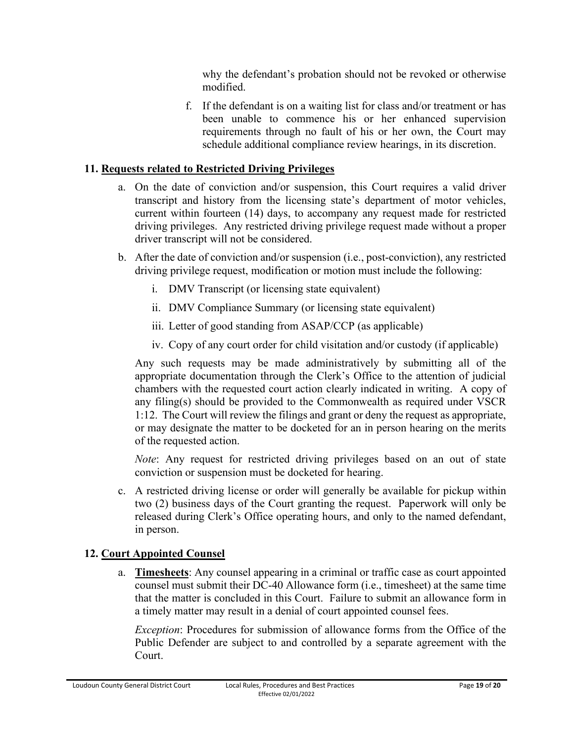why the defendant's probation should not be revoked or otherwise modified.

f. If the defendant is on a waiting list for class and/or treatment or has been unable to commence his or her enhanced supervision requirements through no fault of his or her own, the Court may schedule additional compliance review hearings, in its discretion.

### **11. Requests related to Restricted Driving Privileges**

- a. On the date of conviction and/or suspension, this Court requires a valid driver transcript and history from the licensing state's department of motor vehicles, current within fourteen (14) days, to accompany any request made for restricted driving privileges. Any restricted driving privilege request made without a proper driver transcript will not be considered.
- b. After the date of conviction and/or suspension (i.e., post-conviction), any restricted driving privilege request, modification or motion must include the following:
	- i. DMV Transcript (or licensing state equivalent)
	- ii. DMV Compliance Summary (or licensing state equivalent)
	- iii. Letter of good standing from ASAP/CCP (as applicable)
	- iv. Copy of any court order for child visitation and/or custody (if applicable)

Any such requests may be made administratively by submitting all of the appropriate documentation through the Clerk's Office to the attention of judicial chambers with the requested court action clearly indicated in writing. A copy of any filing(s) should be provided to the Commonwealth as required under VSCR 1:12. The Court will review the filings and grant or deny the request as appropriate, or may designate the matter to be docketed for an in person hearing on the merits of the requested action.

*Note*: Any request for restricted driving privileges based on an out of state conviction or suspension must be docketed for hearing.

c. A restricted driving license or order will generally be available for pickup within two (2) business days of the Court granting the request. Paperwork will only be released during Clerk's Office operating hours, and only to the named defendant, in person.

# **12. Court Appointed Counsel**

a. **Timesheets**: Any counsel appearing in a criminal or traffic case as court appointed counsel must submit their DC-40 Allowance form (i.e., timesheet) at the same time that the matter is concluded in this Court. Failure to submit an allowance form in a timely matter may result in a denial of court appointed counsel fees.

*Exception*: Procedures for submission of allowance forms from the Office of the Public Defender are subject to and controlled by a separate agreement with the Court.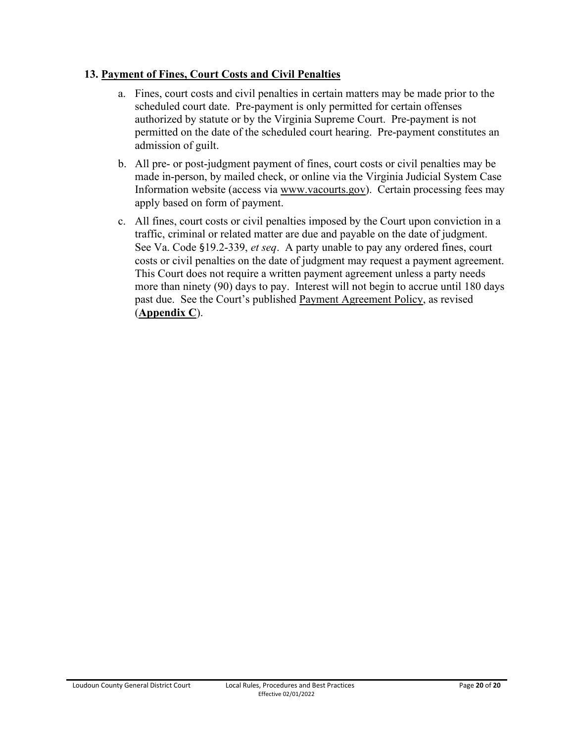### **13. Payment of Fines, Court Costs and Civil Penalties**

- a. Fines, court costs and civil penalties in certain matters may be made prior to the scheduled court date. Pre-payment is only permitted for certain offenses authorized by statute or by the Virginia Supreme Court. Pre-payment is not permitted on the date of the scheduled court hearing. Pre-payment constitutes an admission of guilt.
- b. All pre- or post-judgment payment of fines, court costs or civil penalties may be made in-person, by mailed check, or online via the Virginia Judicial System Case Information website (access via www.vacourts.gov). Certain processing fees may apply based on form of payment.
- c. All fines, court costs or civil penalties imposed by the Court upon conviction in a traffic, criminal or related matter are due and payable on the date of judgment. See Va. Code §19.2-339, *et seq*. A party unable to pay any ordered fines, court costs or civil penalties on the date of judgment may request a payment agreement. This Court does not require a written payment agreement unless a party needs more than ninety (90) days to pay. Interest will not begin to accrue until 180 days past due. See the Court's published Payment Agreement Policy, as revised (**Appendix C**).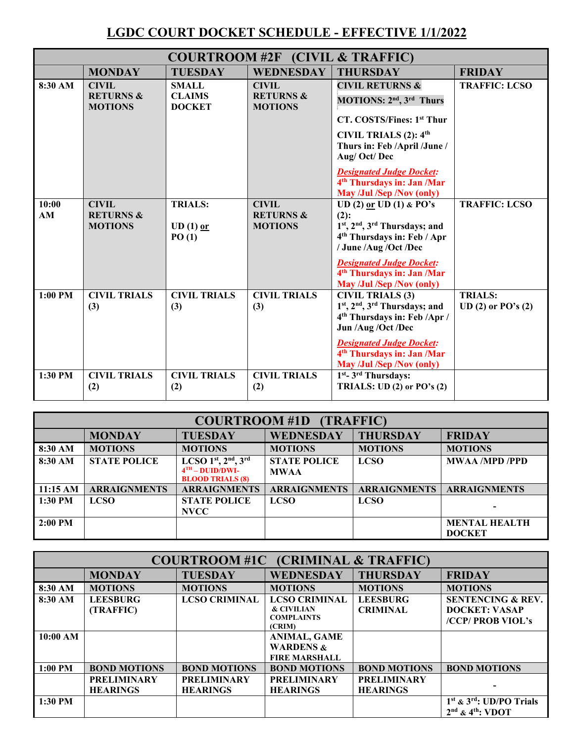# **LGDC COURT DOCKET SCHEDULE - EFFECTIVE 1/1/2022**

| COURTROOM #2F (CIVIL & TRAFFIC) |                                                        |                                                |                                                        |                                                                                                                                                                                                                                                                                                           |                                        |  |
|---------------------------------|--------------------------------------------------------|------------------------------------------------|--------------------------------------------------------|-----------------------------------------------------------------------------------------------------------------------------------------------------------------------------------------------------------------------------------------------------------------------------------------------------------|----------------------------------------|--|
|                                 | <b>MONDAY</b>                                          | <b>TUESDAY</b>                                 | <b>WEDNESDAY</b>                                       | <b>THURSDAY</b>                                                                                                                                                                                                                                                                                           | <b>FRIDAY</b>                          |  |
| 8:30 AM                         | <b>CIVIL</b><br><b>RETURNS &amp;</b><br><b>MOTIONS</b> | <b>SMALL</b><br><b>CLAIMS</b><br><b>DOCKET</b> | <b>CIVIL</b><br><b>RETURNS &amp;</b><br><b>MOTIONS</b> | <b>CIVIL RETURNS &amp;</b><br>MOTIONS: 2 <sup>nd</sup> , 3 <sup>rd</sup> Thurs<br>CT. COSTS/Fines: 1st Thur<br>CIVIL TRIALS (2): 4 <sup>th</sup><br>Thurs in: Feb /April /June /<br>Aug/Oct/Dec<br><b>Designated Judge Docket:</b><br>4 <sup>th</sup> Thursdays in: Jan /Mar<br>May /Jul /Sep /Nov (only) | <b>TRAFFIC: LCSO</b>                   |  |
| 10:00<br>AM                     | <b>CIVIL</b><br><b>RETURNS &amp;</b><br><b>MOTIONS</b> | <b>TRIALS:</b><br>$UD(1)$ or<br>PO(1)          | <b>CIVIL</b><br><b>RETURNS &amp;</b><br><b>MOTIONS</b> | UD (2) or UD (1) & PO's<br>$(2)$ :<br>1st, 2nd, 3rd Thursdays; and<br>4 <sup>th</sup> Thursdays in: Feb / Apr<br>/ June /Aug /Oct /Dec<br><b>Designated Judge Docket:</b><br>4 <sup>th</sup> Thursdays in: Jan /Mar<br>May /Jul /Sep /Nov (only)                                                          | <b>TRAFFIC: LCSO</b>                   |  |
| $1:00$ PM                       | <b>CIVIL TRIALS</b><br>(3)                             | <b>CIVIL TRIALS</b><br>(3)                     | <b>CIVIL TRIALS</b><br>(3)                             | <b>CIVIL TRIALS (3)</b><br>1st, 2nd, 3rd Thursdays; and<br>4 <sup>th</sup> Thursdays in: Feb /Apr /<br>Jun /Aug /Oct /Dec<br><b>Designated Judge Docket:</b><br>4 <sup>th</sup> Thursdays in: Jan /Mar<br>May /Jul /Sep /Nov (only)                                                                       | <b>TRIALS:</b><br>$UD(2)$ or $PO's(2)$ |  |
| $1:30$ PM                       | <b>CIVIL TRIALS</b><br>(2)                             | <b>CIVIL TRIALS</b><br>(2)                     | <b>CIVIL TRIALS</b><br>(2)                             | 1st- 3rd Thursdays:<br>TRIALS: UD $(2)$ or PO's $(2)$                                                                                                                                                                                                                                                     |                                        |  |

| <b>COURTROOM #1D (TRAFFIC)</b> |                     |                                              |                     |                     |                       |
|--------------------------------|---------------------|----------------------------------------------|---------------------|---------------------|-----------------------|
|                                | <b>MONDAY</b>       | <b>TUESDAY</b>                               | <b>WEDNESDAY</b>    | <b>THURSDAY</b>     | <b>FRIDAY</b>         |
| 8:30 AM                        | <b>MOTIONS</b>      | <b>MOTIONS</b>                               | <b>MOTIONS</b>      | <b>MOTIONS</b>      | <b>MOTIONS</b>        |
| 8:30 AM                        | <b>STATE POLICE</b> | LCSO $1st$ , $2nd$ , $3rd$                   | <b>STATE POLICE</b> | <b>LCSO</b>         | <b>MWAA /MPD /PPD</b> |
|                                |                     | $4TH - DIID/DWI-$<br><b>BLOOD TRIALS (8)</b> | <b>MWAA</b>         |                     |                       |
| 11:15 AM                       | <b>ARRAIGNMENTS</b> | <b>ARRAIGNMENTS</b>                          | <b>ARRAIGNMENTS</b> | <b>ARRAIGNMENTS</b> | <b>ARRAIGNMENTS</b>   |
| 1:30 PM                        | <b>LCSO</b>         | <b>STATE POLICE</b><br><b>NVCC</b>           | <b>LCSO</b>         | <b>LCSO</b>         |                       |
| $2:00$ PM                      |                     |                                              |                     |                     | <b>MENTAL HEALTH</b>  |
|                                |                     |                                              |                     |                     | <b>DOCKET</b>         |

| <b>COURTROOM #1C (CRIMINAL &amp; TRAFFIC)</b> |                     |                      |                             |                     |                                                                |
|-----------------------------------------------|---------------------|----------------------|-----------------------------|---------------------|----------------------------------------------------------------|
|                                               | <b>MONDAY</b>       | <b>TUESDAY</b>       | WEDNESDAY                   | <b>THURSDAY</b>     | <b>FRIDAY</b>                                                  |
| $8:30$ AM                                     | <b>MOTIONS</b>      | <b>MOTIONS</b>       | <b>MOTIONS</b>              | <b>MOTIONS</b>      | <b>MOTIONS</b>                                                 |
| 8:30 AM                                       | <b>LEESBURG</b>     | <b>LCSO CRIMINAL</b> | <b>LCSO CRIMINAL</b>        | <b>LEESBURG</b>     | <b>SENTENCING &amp; REV.</b>                                   |
|                                               | (TRAFFIC)           |                      | <b>&amp; CIVILIAN</b>       | <b>CRIMINAL</b>     | <b>DOCKET: VASAP</b>                                           |
|                                               |                     |                      | <b>COMPLAINTS</b><br>(CRIM) |                     | /CCP/ PROB VIOL's                                              |
| 10:00 AM                                      |                     |                      | <b>ANIMAL, GAME</b>         |                     |                                                                |
|                                               |                     |                      | <b>WARDENS &amp;</b>        |                     |                                                                |
|                                               |                     |                      | <b>FIRE MARSHALL</b>        |                     |                                                                |
| 1:00 PM                                       | <b>BOND MOTIONS</b> | <b>BOND MOTIONS</b>  | <b>BOND MOTIONS</b>         | <b>BOND MOTIONS</b> | <b>BOND MOTIONS</b>                                            |
|                                               | <b>PRELIMINARY</b>  | <b>PRELIMINARY</b>   | <b>PRELIMINARY</b>          | <b>PRELIMINARY</b>  |                                                                |
|                                               | <b>HEARINGS</b>     | <b>HEARINGS</b>      | <b>HEARINGS</b>             | <b>HEARINGS</b>     |                                                                |
| $1:30$ PM                                     |                     |                      |                             |                     | $1st$ & $3rd$ : UD/PO Trials<br>$2nd$ & 4 <sup>th</sup> : VDOT |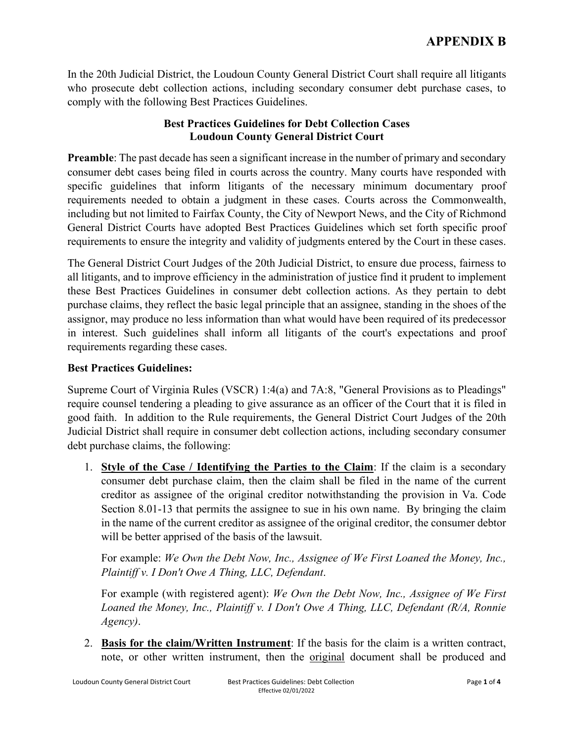In the 20th Judicial District, the Loudoun County General District Court shall require all litigants who prosecute debt collection actions, including secondary consumer debt purchase cases, to comply with the following Best Practices Guidelines.

### **Best Practices Guidelines for Debt Collection Cases Loudoun County General District Court**

**Preamble**: The past decade has seen a significant increase in the number of primary and secondary consumer debt cases being filed in courts across the country. Many courts have responded with specific guidelines that inform litigants of the necessary minimum documentary proof requirements needed to obtain a judgment in these cases. Courts across the Commonwealth, including but not limited to Fairfax County, the City of Newport News, and the City of Richmond General District Courts have adopted Best Practices Guidelines which set forth specific proof requirements to ensure the integrity and validity of judgments entered by the Court in these cases.

The General District Court Judges of the 20th Judicial District, to ensure due process, fairness to all litigants, and to improve efficiency in the administration of justice find it prudent to implement these Best Practices Guidelines in consumer debt collection actions. As they pertain to debt purchase claims, they reflect the basic legal principle that an assignee, standing in the shoes of the assignor, may produce no less information than what would have been required of its predecessor in interest. Such guidelines shall inform all litigants of the court's expectations and proof requirements regarding these cases.

#### **Best Practices Guidelines:**

Supreme Court of Virginia Rules (VSCR) 1:4(a) and 7A:8, "General Provisions as to Pleadings" require counsel tendering a pleading to give assurance as an officer of the Court that it is filed in good faith. In addition to the Rule requirements, the General District Court Judges of the 20th Judicial District shall require in consumer debt collection actions, including secondary consumer debt purchase claims, the following:

1. **Style of the Case / Identifying the Parties to the Claim**: If the claim is a secondary consumer debt purchase claim, then the claim shall be filed in the name of the current creditor as assignee of the original creditor notwithstanding the provision in Va. Code Section 8.01-13 that permits the assignee to sue in his own name. By bringing the claim in the name of the current creditor as assignee of the original creditor, the consumer debtor will be better apprised of the basis of the lawsuit.

For example: *We Own the Debt Now, Inc., Assignee of We First Loaned the Money, Inc., Plaintiff v. I Don't Owe A Thing, LLC, Defendant*.

For example (with registered agent): *We Own the Debt Now, Inc., Assignee of We First Loaned the Money, Inc., Plaintiff v. I Don't Owe A Thing, LLC, Defendant (R/A, Ronnie Agency)*.

2. **Basis for the claim/Written Instrument**: If the basis for the claim is a written contract, note, or other written instrument, then the original document shall be produced and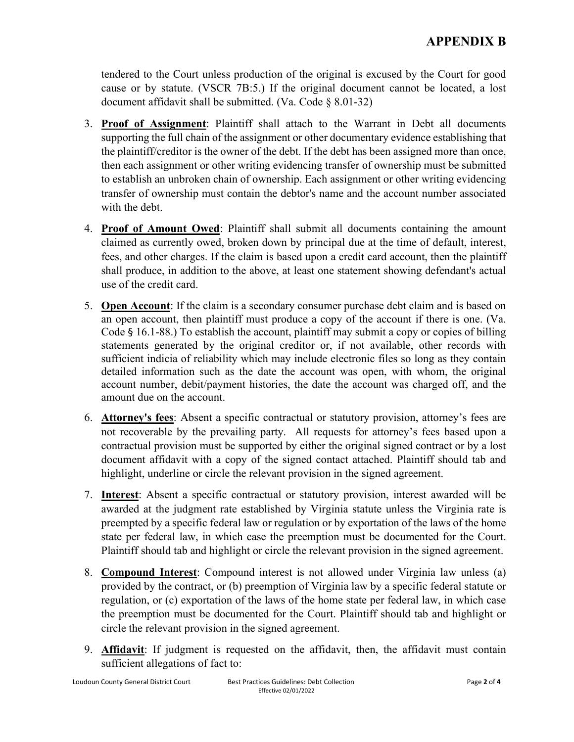tendered to the Court unless production of the original is excused by the Court for good cause or by statute. (VSCR 7B:5.) If the original document cannot be located, a lost document affidavit shall be submitted. (Va. Code § 8.01-32)

- 3. **Proof of Assignment**: Plaintiff shall attach to the Warrant in Debt all documents supporting the full chain of the assignment or other documentary evidence establishing that the plaintiff/creditor is the owner of the debt. If the debt has been assigned more than once, then each assignment or other writing evidencing transfer of ownership must be submitted to establish an unbroken chain of ownership. Each assignment or other writing evidencing transfer of ownership must contain the debtor's name and the account number associated with the debt.
- 4. **Proof of Amount Owed**: Plaintiff shall submit all documents containing the amount claimed as currently owed, broken down by principal due at the time of default, interest, fees, and other charges. If the claim is based upon a credit card account, then the plaintiff shall produce, in addition to the above, at least one statement showing defendant's actual use of the credit card.
- 5. **Open Account**: If the claim is a secondary consumer purchase debt claim and is based on an open account, then plaintiff must produce a copy of the account if there is one. (Va. Code § 16.1-88.) To establish the account, plaintiff may submit a copy or copies of billing statements generated by the original creditor or, if not available, other records with sufficient indicia of reliability which may include electronic files so long as they contain detailed information such as the date the account was open, with whom, the original account number, debit/payment histories, the date the account was charged off, and the amount due on the account.
- 6. **Attorney's fees**: Absent a specific contractual or statutory provision, attorney's fees are not recoverable by the prevailing party. All requests for attorney's fees based upon a contractual provision must be supported by either the original signed contract or by a lost document affidavit with a copy of the signed contact attached. Plaintiff should tab and highlight, underline or circle the relevant provision in the signed agreement.
- 7. **Interest**: Absent a specific contractual or statutory provision, interest awarded will be awarded at the judgment rate established by Virginia statute unless the Virginia rate is preempted by a specific federal law or regulation or by exportation of the laws of the home state per federal law, in which case the preemption must be documented for the Court. Plaintiff should tab and highlight or circle the relevant provision in the signed agreement.
- 8. **Compound Interest**: Compound interest is not allowed under Virginia law unless (a) provided by the contract, or (b) preemption of Virginia law by a specific federal statute or regulation, or (c) exportation of the laws of the home state per federal law, in which case the preemption must be documented for the Court. Plaintiff should tab and highlight or circle the relevant provision in the signed agreement.
- 9. **Affidavit**: If judgment is requested on the affidavit, then, the affidavit must contain sufficient allegations of fact to: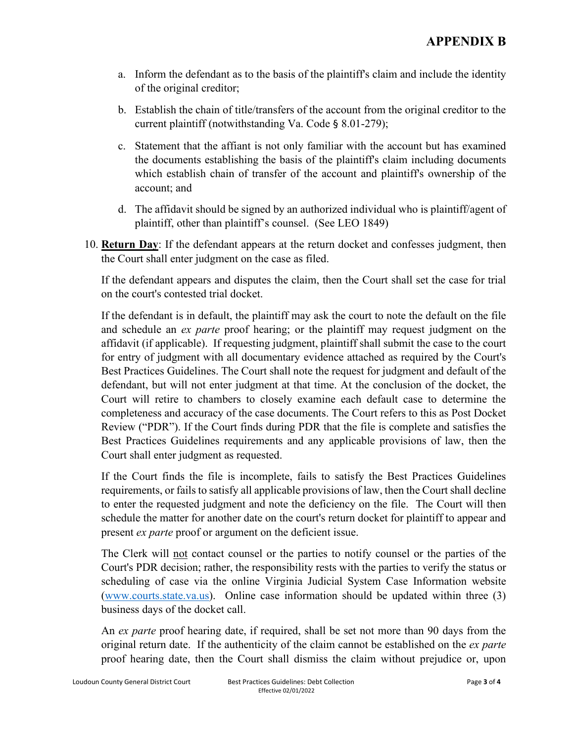- a. Inform the defendant as to the basis of the plaintiff's claim and include the identity of the original creditor;
- b. Establish the chain of title/transfers of the account from the original creditor to the current plaintiff (notwithstanding Va. Code § 8.01-279);
- c. Statement that the affiant is not only familiar with the account but has examined the documents establishing the basis of the plaintiff's claim including documents which establish chain of transfer of the account and plaintiff's ownership of the account; and
- d. The affidavit should be signed by an authorized individual who is plaintiff/agent of plaintiff, other than plaintiff's counsel. (See LEO 1849)
- 10. **Return Day**: If the defendant appears at the return docket and confesses judgment, then the Court shall enter judgment on the case as filed.

If the defendant appears and disputes the claim, then the Court shall set the case for trial on the court's contested trial docket.

If the defendant is in default, the plaintiff may ask the court to note the default on the file and schedule an *ex parte* proof hearing; or the plaintiff may request judgment on the affidavit (if applicable). If requesting judgment, plaintiff shall submit the case to the court for entry of judgment with all documentary evidence attached as required by the Court's Best Practices Guidelines. The Court shall note the request for judgment and default of the defendant, but will not enter judgment at that time. At the conclusion of the docket, the Court will retire to chambers to closely examine each default case to determine the completeness and accuracy of the case documents. The Court refers to this as Post Docket Review ("PDR"). If the Court finds during PDR that the file is complete and satisfies the Best Practices Guidelines requirements and any applicable provisions of law, then the Court shall enter judgment as requested.

If the Court finds the file is incomplete, fails to satisfy the Best Practices Guidelines requirements, or fails to satisfy all applicable provisions of law, then the Court shall decline to enter the requested judgment and note the deficiency on the file. The Court will then schedule the matter for another date on the court's return docket for plaintiff to appear and present *ex parte* proof or argument on the deficient issue.

The Clerk will not contact counsel or the parties to notify counsel or the parties of the Court's PDR decision; rather, the responsibility rests with the parties to verify the status or scheduling of case via the online Virginia Judicial System Case Information website [\(www.courts.state.va.us\)](http://www.courts.state.va.us/). Online case information should be updated within three (3) business days of the docket call.

An *ex parte* proof hearing date, if required, shall be set not more than 90 days from the original return date. If the authenticity of the claim cannot be established on the *ex parte* proof hearing date, then the Court shall dismiss the claim without prejudice or, upon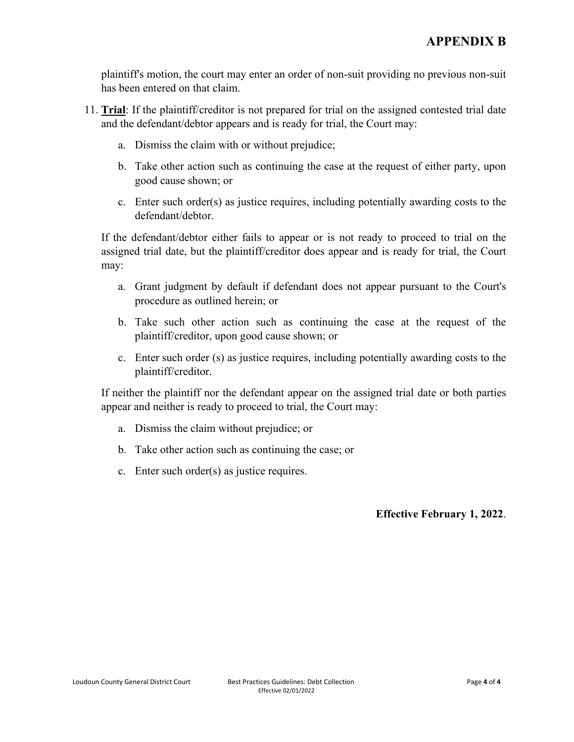plaintiff's motion, the court may enter an order of non-suit providing no previous non-suit has been entered on that claim.

- 11. **Trial**: If the plaintiff/creditor is not prepared for trial on the assigned contested trial date and the defendant/debtor appears and is ready for trial, the Court may:
	- a. Dismiss the claim with or without prejudice;
	- b. Take other action such as continuing the case at the request of either party, upon good cause shown; or
	- c. Enter such order(s) as justice requires, including potentially awarding costs to the defendant/debtor.

If the defendant/debtor either fails to appear or is not ready to proceed to trial on the assigned trial date, but the plaintiff/creditor does appear and is ready for trial, the Court may:

- a. Grant judgment by default if defendant does not appear pursuant to the Court's procedure as outlined herein; or
- b. Take such other action such as continuing the case at the request of the plaintiff/creditor, upon good cause shown; or
- c. Enter such order (s) as justice requires, including potentially awarding costs to the plaintiff/creditor.

If neither the plaintiff nor the defendant appear on the assigned trial date or both parties appear and neither is ready to proceed to trial, the Court may:

- a. Dismiss the claim without prejudice; or
- b. Take other action such as continuing the case; or
- c. Enter such order(s) as justice requires.

#### **Effective February 1, 2022**.